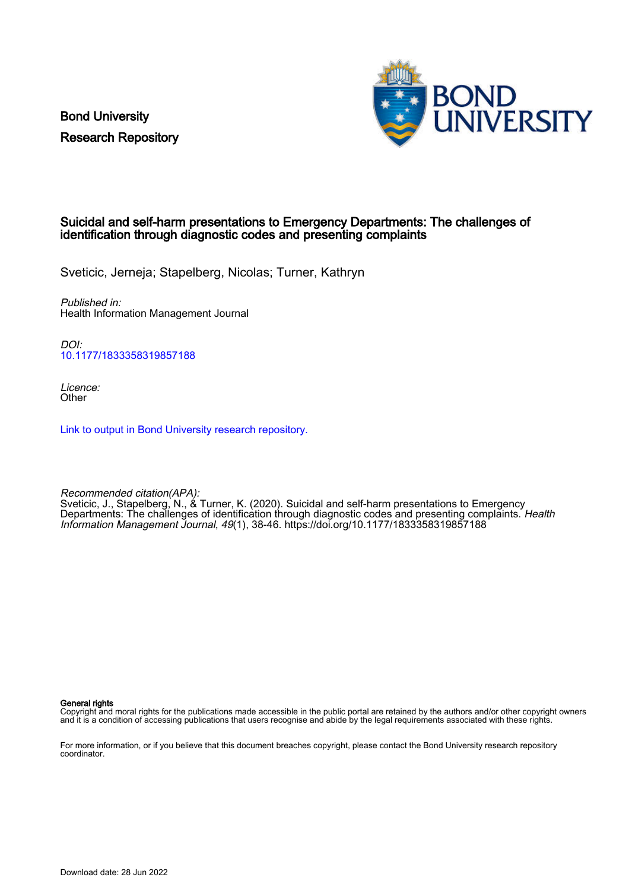Bond University Research Repository



### Suicidal and self-harm presentations to Emergency Departments: The challenges of identification through diagnostic codes and presenting complaints

Sveticic, Jerneja; Stapelberg, Nicolas; Turner, Kathryn

Published in: Health Information Management Journal

DOI: [10.1177/1833358319857188](https://doi.org/10.1177/1833358319857188)

Licence: **Other** 

[Link to output in Bond University research repository.](https://research.bond.edu.au/en/publications/d0657c29-e039-4c74-b3c3-288bee7549e0)

Recommended citation(APA): Sveticic, J., Stapelberg, N., & Turner, K. (2020). Suicidal and self-harm presentations to Emergency Departments: The challenges of identification through diagnostic codes and presenting complaints. Health Information Management Journal, 49(1), 38-46.<https://doi.org/10.1177/1833358319857188>

General rights

Copyright and moral rights for the publications made accessible in the public portal are retained by the authors and/or other copyright owners and it is a condition of accessing publications that users recognise and abide by the legal requirements associated with these rights.

For more information, or if you believe that this document breaches copyright, please contact the Bond University research repository coordinator.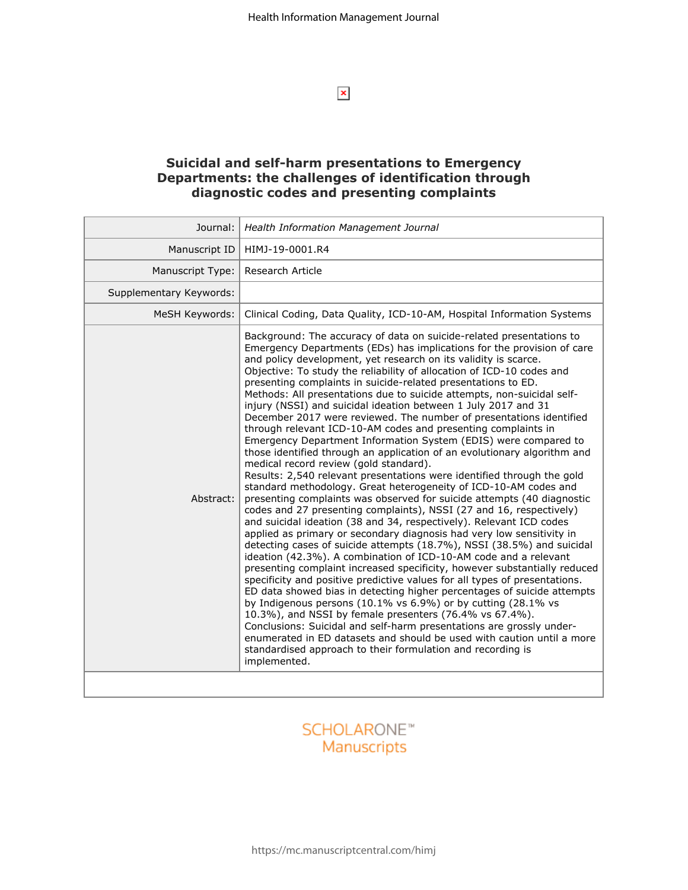$\pmb{\times}$ 

## **Suicidal and self-harm presentations to Emergency Departments: the challenges of identification through diagnostic codes and presenting complaints**

| Journal:                | Health Information Management Journal                                                                                                                                                                                                                                                                                                                                                                                                                                                                                                                                                                                                                                                                                                                                                                                                                                                                                                                                                                                                                                                                                                                                                                                                                                                                                                                                                                                                                                                                                                                                                                                                                                                                                                                                                                                                                                                                                                                                                                                                    |
|-------------------------|------------------------------------------------------------------------------------------------------------------------------------------------------------------------------------------------------------------------------------------------------------------------------------------------------------------------------------------------------------------------------------------------------------------------------------------------------------------------------------------------------------------------------------------------------------------------------------------------------------------------------------------------------------------------------------------------------------------------------------------------------------------------------------------------------------------------------------------------------------------------------------------------------------------------------------------------------------------------------------------------------------------------------------------------------------------------------------------------------------------------------------------------------------------------------------------------------------------------------------------------------------------------------------------------------------------------------------------------------------------------------------------------------------------------------------------------------------------------------------------------------------------------------------------------------------------------------------------------------------------------------------------------------------------------------------------------------------------------------------------------------------------------------------------------------------------------------------------------------------------------------------------------------------------------------------------------------------------------------------------------------------------------------------------|
| Manuscript ID           | HIMJ-19-0001.R4                                                                                                                                                                                                                                                                                                                                                                                                                                                                                                                                                                                                                                                                                                                                                                                                                                                                                                                                                                                                                                                                                                                                                                                                                                                                                                                                                                                                                                                                                                                                                                                                                                                                                                                                                                                                                                                                                                                                                                                                                          |
| Manuscript Type:        | Research Article                                                                                                                                                                                                                                                                                                                                                                                                                                                                                                                                                                                                                                                                                                                                                                                                                                                                                                                                                                                                                                                                                                                                                                                                                                                                                                                                                                                                                                                                                                                                                                                                                                                                                                                                                                                                                                                                                                                                                                                                                         |
| Supplementary Keywords: |                                                                                                                                                                                                                                                                                                                                                                                                                                                                                                                                                                                                                                                                                                                                                                                                                                                                                                                                                                                                                                                                                                                                                                                                                                                                                                                                                                                                                                                                                                                                                                                                                                                                                                                                                                                                                                                                                                                                                                                                                                          |
| MeSH Keywords:          | Clinical Coding, Data Quality, ICD-10-AM, Hospital Information Systems                                                                                                                                                                                                                                                                                                                                                                                                                                                                                                                                                                                                                                                                                                                                                                                                                                                                                                                                                                                                                                                                                                                                                                                                                                                                                                                                                                                                                                                                                                                                                                                                                                                                                                                                                                                                                                                                                                                                                                   |
| Abstract:               | Background: The accuracy of data on suicide-related presentations to<br>Emergency Departments (EDs) has implications for the provision of care<br>and policy development, yet research on its validity is scarce.<br>Objective: To study the reliability of allocation of ICD-10 codes and<br>presenting complaints in suicide-related presentations to ED.<br>Methods: All presentations due to suicide attempts, non-suicidal self-<br>injury (NSSI) and suicidal ideation between 1 July 2017 and 31<br>December 2017 were reviewed. The number of presentations identified<br>through relevant ICD-10-AM codes and presenting complaints in<br>Emergency Department Information System (EDIS) were compared to<br>those identified through an application of an evolutionary algorithm and<br>medical record review (gold standard).<br>Results: 2,540 relevant presentations were identified through the gold<br>standard methodology. Great heterogeneity of ICD-10-AM codes and<br>presenting complaints was observed for suicide attempts (40 diagnostic<br>codes and 27 presenting complaints), NSSI (27 and 16, respectively)<br>and suicidal ideation (38 and 34, respectively). Relevant ICD codes<br>applied as primary or secondary diagnosis had very low sensitivity in<br>detecting cases of suicide attempts (18.7%), NSSI (38.5%) and suicidal<br>ideation (42.3%). A combination of ICD-10-AM code and a relevant<br>presenting complaint increased specificity, however substantially reduced<br>specificity and positive predictive values for all types of presentations.<br>ED data showed bias in detecting higher percentages of suicide attempts<br>by Indigenous persons (10.1% vs 6.9%) or by cutting (28.1% vs<br>10.3%), and NSSI by female presenters (76.4% vs 67.4%).<br>Conclusions: Suicidal and self-harm presentations are grossly under-<br>enumerated in ED datasets and should be used with caution until a more<br>standardised approach to their formulation and recording is<br>implemented. |
|                         |                                                                                                                                                                                                                                                                                                                                                                                                                                                                                                                                                                                                                                                                                                                                                                                                                                                                                                                                                                                                                                                                                                                                                                                                                                                                                                                                                                                                                                                                                                                                                                                                                                                                                                                                                                                                                                                                                                                                                                                                                                          |

# **SCHOLARONE™** Manuscripts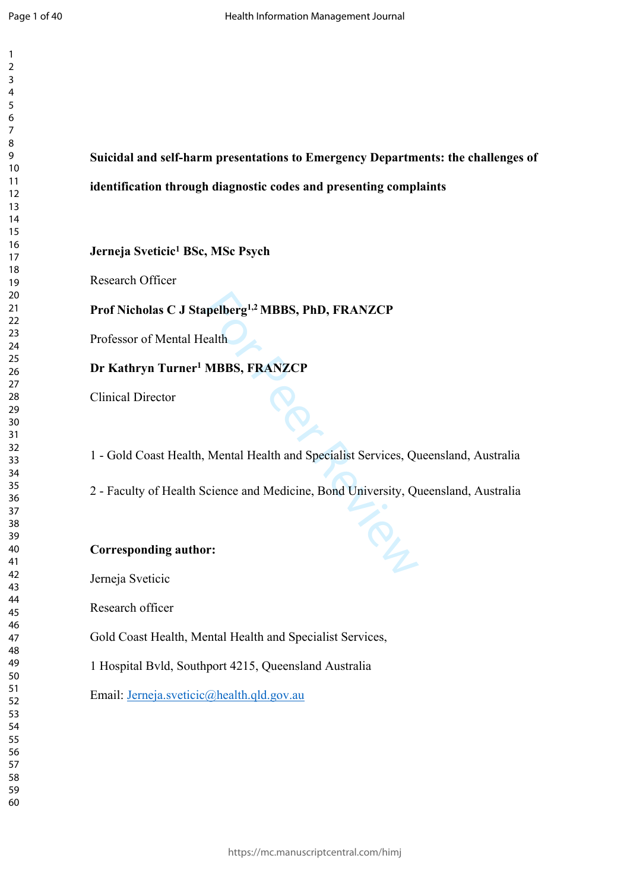$\mathbf{1}$  $\overline{2}$  $\overline{4}$  $\overline{7}$ 

**Suicidal and self-harm presentations to Emergency Departments: the challenges of identification through diagnostic codes and presenting complaints**

## **Jerneja Sveticic 1 BSc, MSc Psych**

Research Officer

## **Prof Nicholas C J Stapelberg1,2 MBBS, PhD, FRANZCP**

Professor of Mental Health

## **Dr Kathryn Turner 1 MBBS, FRANZCP**

Clinical Director

pelberg<sup>1,2</sup> MBBS, PhD, FRANZCP<br>ealth<br>MBBS, FRANZCP<br>Mental Health and Specialist Services, Qu<br>Science and Medicine, Bond University, Qu<br>r: 1 - Gold Coast Health, Mental Health and Specialist Services, Queensland, Australia

2 - Faculty of Health Science and Medicine, Bond University, Queensland, Australia

## **Corresponding author:**

Jerneja Sveticic

Research officer

Gold Coast Health, Mental Health and Specialist Services,

1 Hospital Bvld, Southport 4215, Queensland Australia

Email: [Jerneja.sveticic@health.qld.gov.au](mailto:Jerneja.sveticic@health.qld.gov.au)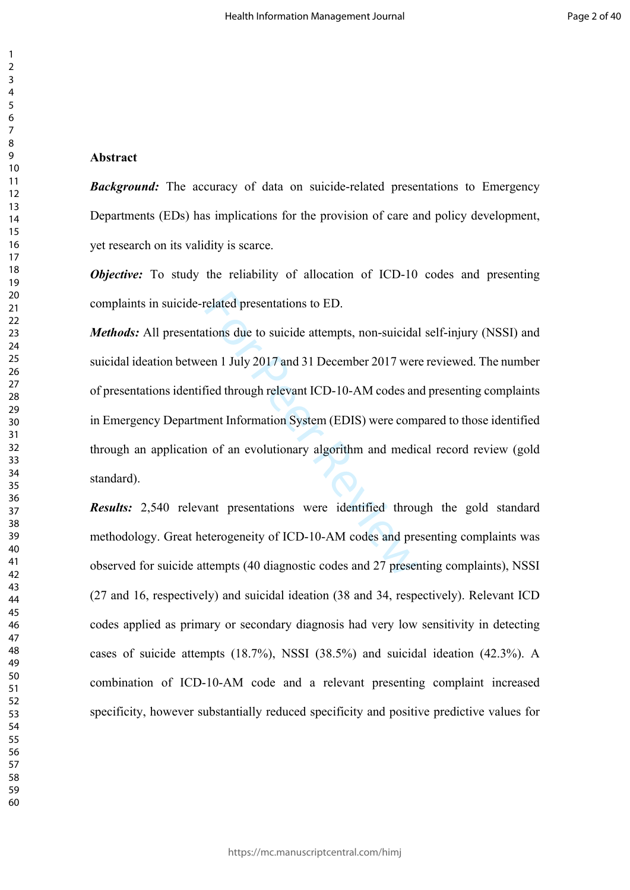#### 

#### **Abstract**

*Background:* The accuracy of data on suicide-related presentations to Emergency Departments (EDs) has implications for the provision of care and policy development, yet research on its validity is scarce.

*Objective:* To study the reliability of allocation of ICD-10 codes and presenting complaints in suicide-related presentations to ED.

related presentations to ED.<br>tions due to suicide attempts, non-suicida<br>een 1 July 2017 and 31 December 2017 wer<br>fied through relevant ICD-10-AM codes an<br>nent Information System (EDIS) were com-<br>n of an evolutionary algori *Methods:* All presentations due to suicide attempts, non-suicidal self-injury (NSSI) and suicidal ideation between 1 July 2017 and 31 December 2017 were reviewed. The number of presentations identified through relevant ICD-10-AM codes and presenting complaints in Emergency Department Information System (EDIS) were compared to those identified through an application of an evolutionary algorithm and medical record review (gold standard).

*Results:* 2,540 relevant presentations were identified through the gold standard methodology. Great heterogeneity of ICD-10-AM codes and presenting complaints was observed for suicide attempts (40 diagnostic codes and 27 presenting complaints), NSSI (27 and 16, respectively) and suicidal ideation (38 and 34, respectively). Relevant ICD codes applied as primary or secondary diagnosis had very low sensitivity in detecting cases of suicide attempts (18.7%), NSSI (38.5%) and suicidal ideation (42.3%). A combination of ICD-10-AM code and a relevant presenting complaint increased specificity, however substantially reduced specificity and positive predictive values for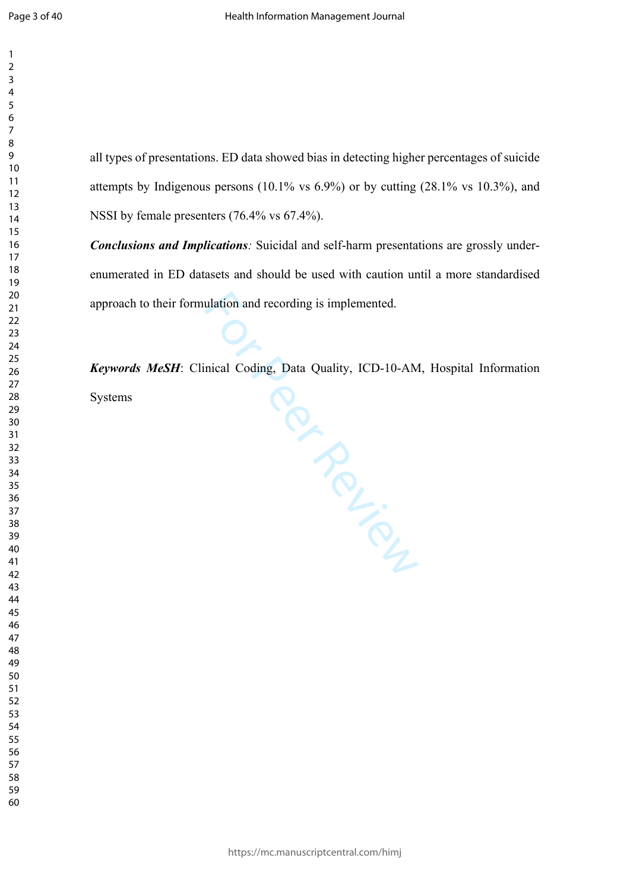all types of presentations. ED data showed bias in detecting higher percentages of suicide

attempts by Indigenous persons (10.1% vs 6.9%) or by cutting (28.1% vs 10.3%), and

**Conclusions and Implications**: Suicidal and self-harm presentations are grossly under-

enumerated in ED datasets and should be used with caution until a more standardised

*Keywords MeSH*: Clinical Coding, Data Quality, ICD-10-AM, Hospital Information

NSSI by female presenters (76.4% vs 67.4%).

approach to their formulation and recording is implemented.

Per Fire<br>Per Fire

https://mc.manuscriptcentral.com/himj

Systems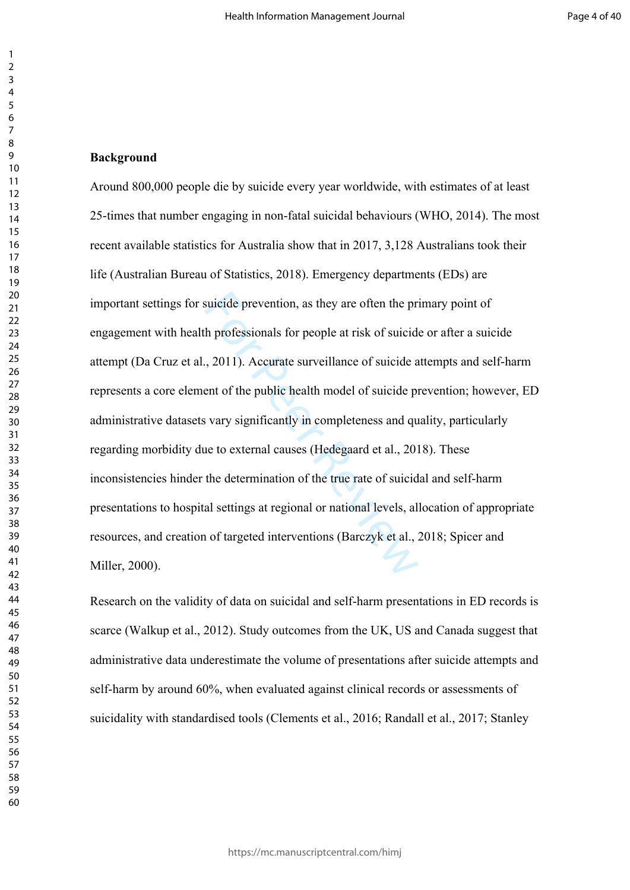#### **Background**

suicide prevention, as they are often the pr<br>h professionals for people at risk of suicid<br>., 2011). Accurate surveillance of suicide a<br>ent of the public health model of suicide p<br>is vary significantly in completeness and q Around 800,000 people die by suicide every year worldwide, with estimates of at least 25-times that number engaging in non-fatal suicidal behaviours (WHO, 2014). The most recent available statistics for Australia show that in 2017, 3,128 Australians took their life (Australian Bureau of Statistics, 2018). Emergency departments (EDs) are important settings for suicide prevention, as they are often the primary point of engagement with health professionals for people at risk of suicide or after a suicide attempt (Da Cruz et al., 2011). Accurate surveillance of suicide attempts and self-harm represents a core element of the public health model of suicide prevention; however, ED administrative datasets vary significantly in completeness and quality, particularly regarding morbidity due to external causes (Hedegaard et al., 2018). These inconsistencies hinder the determination of the true rate of suicidal and self-harm presentations to hospital settings at regional or national levels, allocation of appropriate resources, and creation of targeted interventions (Barczyk et al., 2018; Spicer and Miller, 2000).

Research on the validity of data on suicidal and self-harm presentations in ED records is scarce (Walkup et al., 2012). Study outcomes from the UK, US and Canada suggest that administrative data underestimate the volume of presentations after suicide attempts and self-harm by around 60%, when evaluated against clinical records or assessments of suicidality with standardised tools (Clements et al., 2016; Randall et al., 2017; Stanley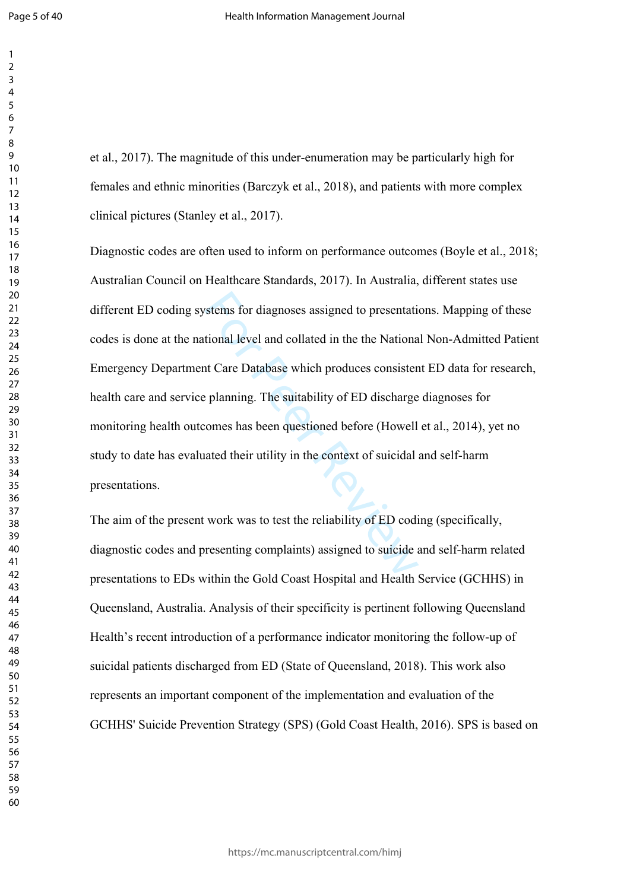et al., 2017). The magnitude of this under-enumeration may be particularly high for females and ethnic minorities (Barczyk et al., 2018), and patients with more complex clinical pictures (Stanley et al., 2017).

stems for diagnoses assigned to presentativional level and collated in the the Nationa<br>at Care Database which produces consister<br>planning. The suitability of ED discharge<br>comes has been questioned before (Howell<br>ated their Diagnostic codes are often used to inform on performance outcomes (Boyle et al., 2018; Australian Council on Healthcare Standards, 2017). In Australia, different states use different ED coding systems for diagnoses assigned to presentations. Mapping of these codes is done at the national level and collated in the the National Non-Admitted Patient Emergency Department Care Database which produces consistent ED data for research, health care and service planning. The suitability of ED discharge diagnoses for monitoring health outcomes has been questioned before (Howell et al., 2014), yet no study to date has evaluated their utility in the context of suicidal and self-harm presentations.

The aim of the present work was to test the reliability of ED coding (specifically, diagnostic codes and presenting complaints) assigned to suicide and self-harm related presentations to EDs within the Gold Coast Hospital and Health Service (GCHHS) in Queensland, Australia. Analysis of their specificity is pertinent following Queensland Health's recent introduction of a performance indicator monitoring the follow-up of suicidal patients discharged from ED (State of Queensland, 2018). This work also represents an important component of the implementation and evaluation of the GCHHS' Suicide Prevention Strategy (SPS) (Gold Coast Health, 2016). SPS is based on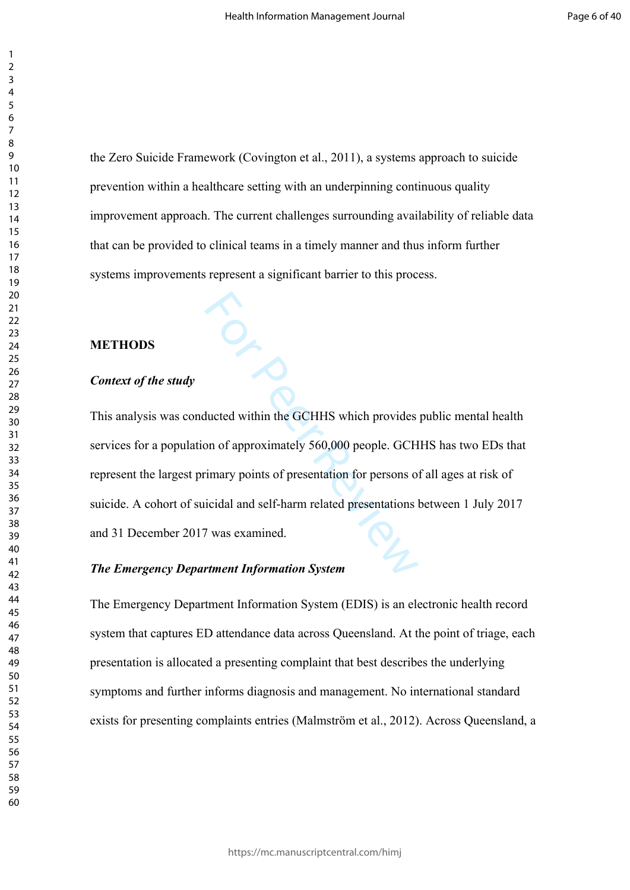the Zero Suicide Framework (Covington et al., 2011), a systems approach to suicide prevention within a healthcare setting with an underpinning continuous quality improvement approach. The current challenges surrounding availability of reliable data that can be provided to clinical teams in a timely manner and thus inform further systems improvements represent a significant barrier to this process.

#### **METHODS**

#### *Context of the study*

This analysis was conducted within the GCHHS which provides public mental health services for a population of approximately 560,000 people. GCHHS has two EDs that represent the largest primary points of presentation for persons of all ages at risk of suicide. A cohort of suicidal and self-harm related presentations between 1 July 2017 and 31 December 2017 was examined.

## *The Emergency Department Information System*

 $\ddot{\circ}_{\zeta}$ 

The Emergency Department Information System (EDIS) is an electronic health record system that captures ED attendance data across Queensland. At the point of triage, each presentation is allocated a presenting complaint that best describes the underlying symptoms and further informs diagnosis and management. No international standard exists for presenting complaints entries (Malmström et al., 2012). Across Queensland, a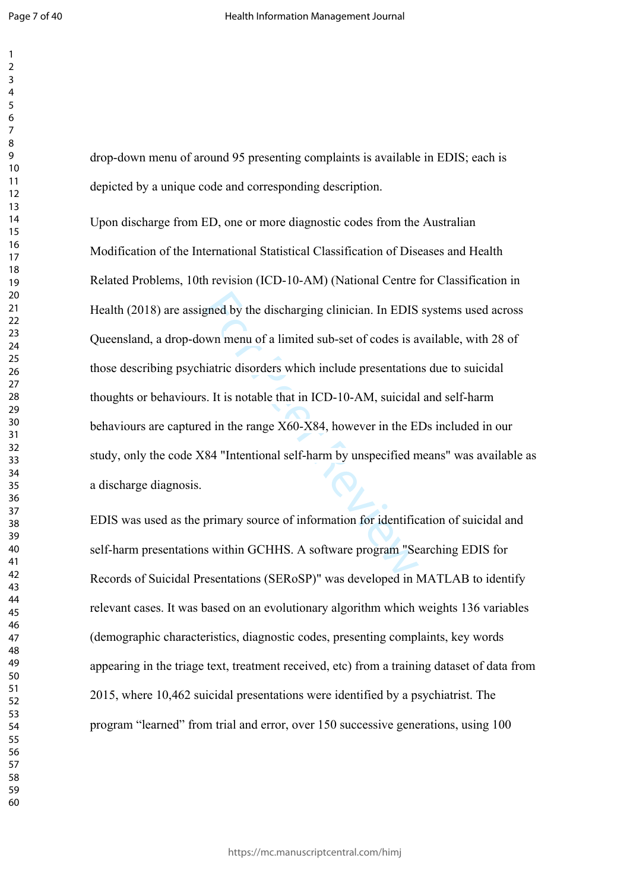drop-down menu of around 95 presenting complaints is available in EDIS; each is depicted by a unique code and corresponding description.

gned by the discharging clinician. In EDIS<br>wn menu of a limited sub-set of codes is a<br>iatric disorders which include presentation<br>s. It is notable that in ICD-10-AM, suicidal<br>d in the range X60-X84, however in the E<br>84 "In Upon discharge from ED, one or more diagnostic codes from the Australian Modification of the International Statistical Classification of Diseases and Health Related Problems, 10th revision (ICD-10-AM) (National Centre for Classification in Health (2018) are assigned by the discharging clinician. In EDIS systems used across Queensland, a drop-down menu of a limited sub-set of codes is available, with 28 of those describing psychiatric disorders which include presentations due to suicidal thoughts or behaviours. It is notable that in ICD-10-AM, suicidal and self-harm behaviours are captured in the range X60-X84, however in the EDs included in our study, only the code X84 "Intentional self-harm by unspecified means" was available as a discharge diagnosis.

EDIS was used as the primary source of information for identification of suicidal and self-harm presentations within GCHHS. A software program "Searching EDIS for Records of Suicidal Presentations (SERoSP)" was developed in MATLAB to identify relevant cases. It was based on an evolutionary algorithm which weights 136 variables (demographic characteristics, diagnostic codes, presenting complaints, key words appearing in the triage text, treatment received, etc) from a training dataset of data from 2015, where 10,462 suicidal presentations were identified by a psychiatrist. The program "learned" from trial and error, over 150 successive generations, using 100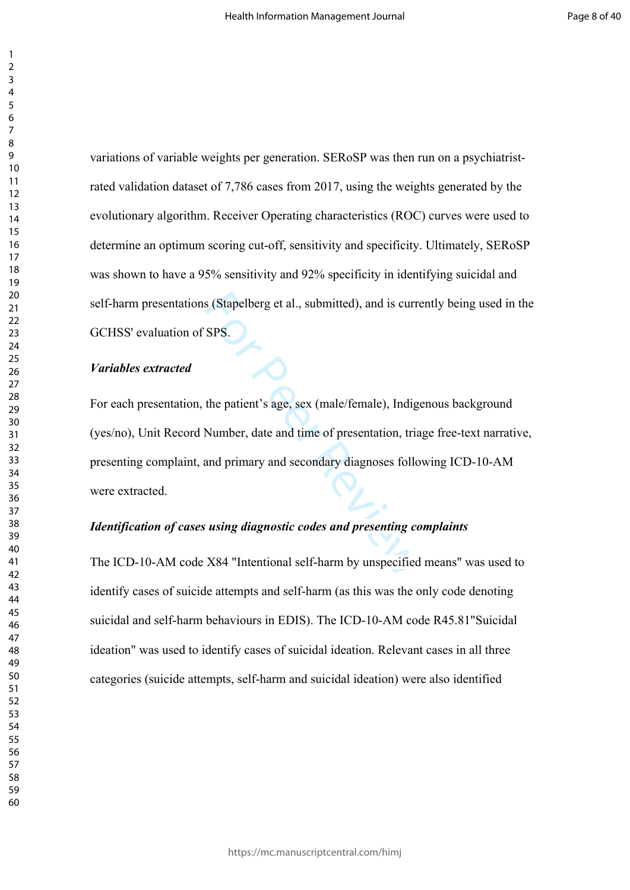variations of variable weights per generation. SERoSP was then run on a psychiatristrated validation dataset of 7,786 cases from 2017, using the weights generated by the evolutionary algorithm. Receiver Operating characteristics (ROC) curves were used to determine an optimum scoring cut-off, sensitivity and specificity. Ultimately, SERoSP was shown to have a 95% sensitivity and 92% specificity in identifying suicidal and self-harm presentations (Stapelberg et al., submitted), and is currently being used in the GCHSS' evaluation of SPS.

#### *Variables extracted*

SPS.<br>
SPS.<br>
SPS.<br>
the patient's age, sex (male/female), Indig<br>
Number, date and time of presentation, triand<br>
primary and secondary diagnoses follow<br>
susing *diagnostic codes and presenting co*<br>
X84 "Intentional self-harm For each presentation, the patient's age, sex (male/female), Indigenous background (yes/no), Unit Record Number, date and time of presentation, triage free-text narrative, presenting complaint, and primary and secondary diagnoses following ICD-10-AM were extracted.

## *Identification of cases using diagnostic codes and presenting complaints*

The ICD-10-AM code X84 "Intentional self-harm by unspecified means" was used to identify cases of suicide attempts and self-harm (as this was the only code denoting suicidal and self-harm behaviours in EDIS). The ICD-10-AM code R45.81"Suicidal ideation" was used to identify cases of suicidal ideation. Relevant cases in all three categories (suicide attempts, self-harm and suicidal ideation) were also identified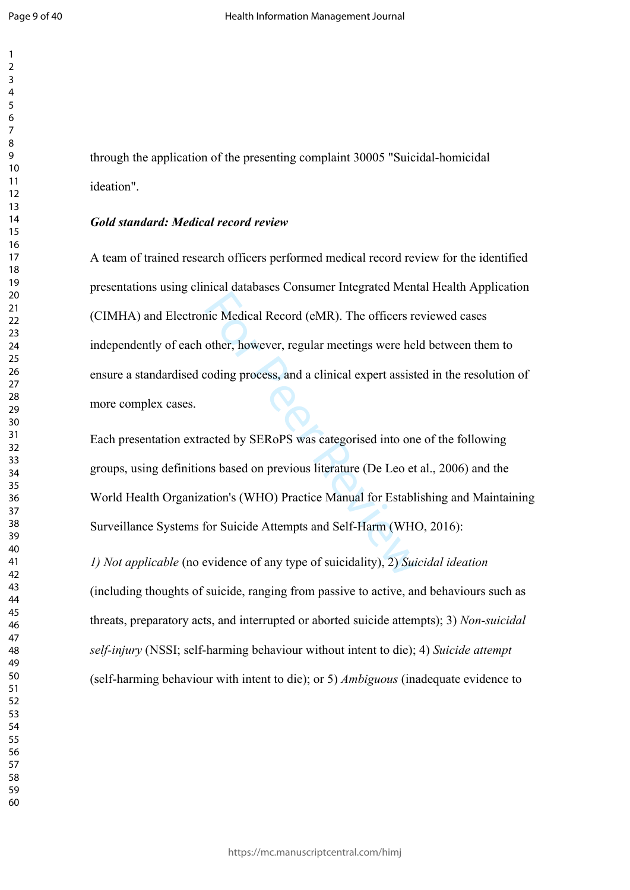through the application of the presenting complaint 30005 "Suicidal-homicidal ideation".

#### *Gold standard: Medical record review*

mic Medical Record (eMR). The officers re<br>other, however, regular meetings were hel<br>coding process, and a clinical expert assiste<br>acted by SERoPS was categorised into one<br>ns based on previous literature (De Leo et<br>ation's A team of trained research officers performed medical record review for the identified presentations using clinical databases Consumer Integrated Mental Health Application (CIMHA) and Electronic Medical Record (eMR). The officers reviewed cases independently of each other, however, regular meetings were held between them to ensure a standardised coding process, and a clinical expert assisted in the resolution of more complex cases.

Each presentation extracted by SERoPS was categorised into one of the following groups, using definitions based on previous literature (De Leo et al., 2006) and the World Health Organization's (WHO) Practice Manual for Establishing and Maintaining Surveillance Systems for Suicide Attempts and Self-Harm (WHO, 2016):

*1) Not applicable* (no evidence of any type of suicidality), 2) *Suicidal ideation*  (including thoughts of suicide, ranging from passive to active, and behaviours such as threats, preparatory acts, and interrupted or aborted suicide attempts); 3) *Non-suicidal self-injury* (NSSI; self-harming behaviour without intent to die); 4) *Suicide attempt*  (self-harming behaviour with intent to die); or 5) *Ambiguous* (inadequate evidence to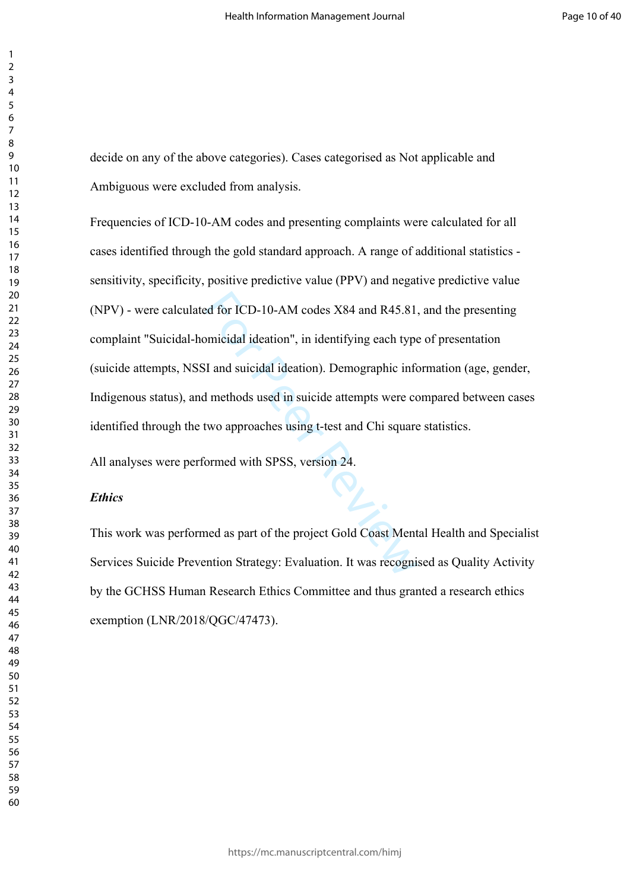decide on any of the above categories). Cases categorised as Not applicable and Ambiguous were excluded from analysis.

ed for ICD-10-AM codes X84 and R45.81,<br>
between ICD-10-AM codes X84 and R45.81,<br>
For Peer Review II and suicidal ideation). Demographic information<br>
of methods used in suicide attempts were control approaches using t-test Frequencies of ICD-10-AM codes and presenting complaints were calculated for all cases identified through the gold standard approach. A range of additional statistics sensitivity, specificity, positive predictive value (PPV) and negative predictive value (NPV) - were calculated for ICD-10-AM codes X84 and R45.81, and the presenting complaint "Suicidal-homicidal ideation", in identifying each type of presentation (suicide attempts, NSSI and suicidal ideation). Demographic information (age, gender, Indigenous status), and methods used in suicide attempts were compared between cases identified through the two approaches using t-test and Chi square statistics.

All analyses were performed with SPSS, version 24.

#### *Ethics*

This work was performed as part of the project Gold Coast Mental Health and Specialist Services Suicide Prevention Strategy: Evaluation. It was recognised as Quality Activity by the GCHSS Human Research Ethics Committee and thus granted a research ethics exemption (LNR/2018/QGC/47473).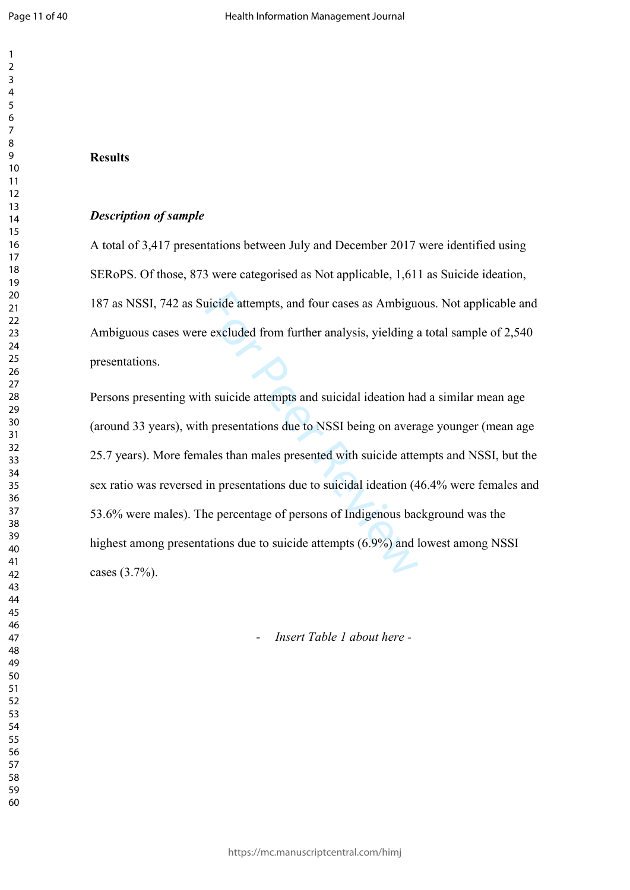$\mathbf{1}$ 

## **Results**

## *Description of sample*

A total of 3,417 presentations between July and December 2017 were identified using SERoPS. Of those, 873 were categorised as Not applicable, 1,611 as Suicide ideation, 187 as NSSI, 742 as Suicide attempts, and four cases as Ambiguous. Not applicable and Ambiguous cases were excluded from further analysis, yielding a total sample of 2,540 presentations.

metal attempts, and four cases as Ambigue<br>
Excluded from further analysis, yielding a<br>
A suicide attempts and suicidal ideation has<br>
h suicide attempts and suicidal ideation has<br>
h presentations due to NSSI being on avera<br> Persons presenting with suicide attempts and suicidal ideation had a similar mean age (around 33 years), with presentations due to NSSI being on average younger (mean age 25.7 years). More females than males presented with suicide attempts and NSSI, but the sex ratio was reversed in presentations due to suicidal ideation (46.4% were females and 53.6% were males). The percentage of persons of Indigenous background was the highest among presentations due to suicide attempts (6.9%) and lowest among NSSI cases (3.7%).

- *Insert Table 1 about here -*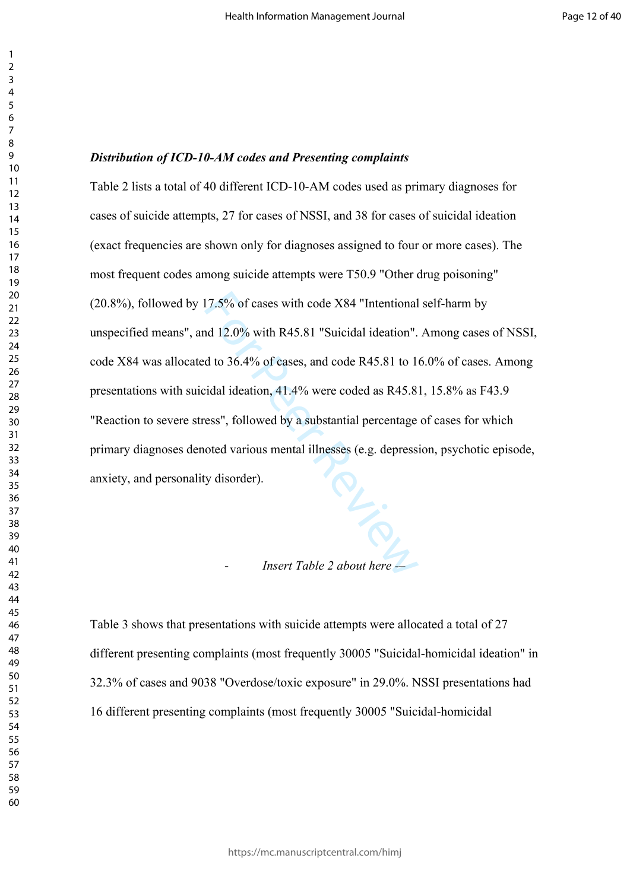#### *Distribution of ICD-10-AM codes and Presenting complaints*

 $P_{L,\widetilde{Q}_{L}}$ Table 2 lists a total of 40 different ICD-10-AM codes used as primary diagnoses for cases of suicide attempts, 27 for cases of NSSI, and 38 for cases of suicidal ideation (exact frequencies are shown only for diagnoses assigned to four or more cases). The most frequent codes among suicide attempts were T50.9 "Other drug poisoning" (20.8%), followed by 17.5% of cases with code X84 "Intentional self-harm by unspecified means", and 12.0% with R45.81 "Suicidal ideation". Among cases of NSSI, code X84 was allocated to 36.4% of cases, and code R45.81 to 16.0% of cases. Among presentations with suicidal ideation, 41.4% were coded as R45.81, 15.8% as F43.9 "Reaction to severe stress", followed by a substantial percentage of cases for which primary diagnoses denoted various mental illnesses (e.g. depression, psychotic episode, anxiety, and personality disorder).

## - *Insert Table 2 about here -*–

Table 3 shows that presentations with suicide attempts were allocated a total of 27 different presenting complaints (most frequently 30005 "Suicidal-homicidal ideation" in 32.3% of cases and 9038 "Overdose/toxic exposure" in 29.0%. NSSI presentations had 16 different presenting complaints (most frequently 30005 "Suicidal-homicidal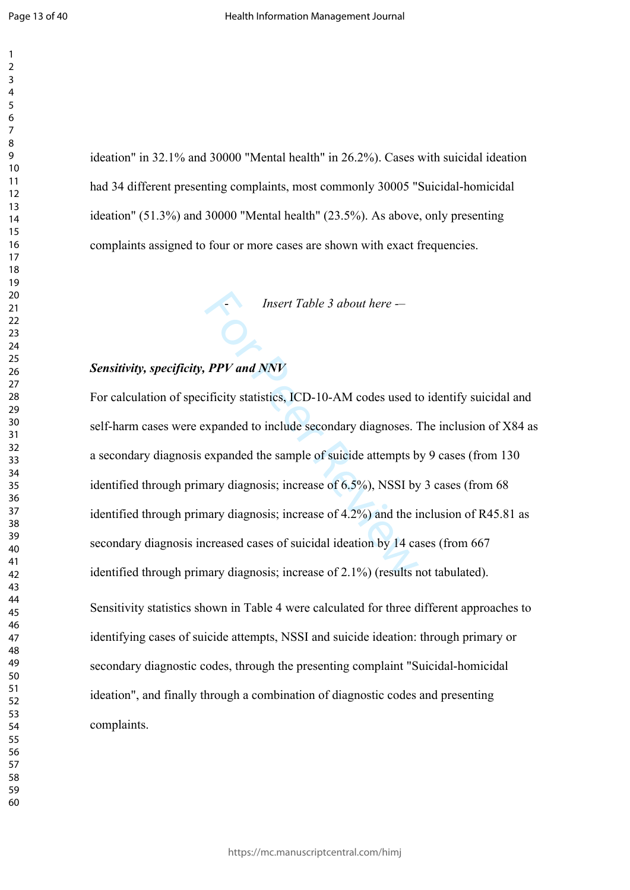ideation" in 32.1% and 30000 "Mental health" in 26.2%). Cases with suicidal ideation had 34 different presenting complaints, most commonly 30005 "Suicidal-homicidal ideation" (51.3%) and 30000 "Mental health" (23.5%). As above, only presenting complaints assigned to four or more cases are shown with exact frequencies.

## *Sensitivity, specificity, PPV and NNV*

Insert Table 3 about here --<br> **PPV and NNV**<br>
ificity statistics, ICD-10-AM codes used to<br>
expanded to include secondary diagnoses.<br>
Fexpanded the sample of suicide attempts b<br>
hary diagnosis; increase of 6.5%), NSSI by<br>
ha For calculation of specificity statistics, ICD-10-AM codes used to identify suicidal and self-harm cases were expanded to include secondary diagnoses. The inclusion of X84 as a secondary diagnosis expanded the sample of suicide attempts by 9 cases (from 130 identified through primary diagnosis; increase of 6.5%), NSSI by 3 cases (from 68 identified through primary diagnosis; increase of 4.2%) and the inclusion of R45.81 as secondary diagnosis increased cases of suicidal ideation by 14 cases (from 667 identified through primary diagnosis; increase of 2.1%) (results not tabulated). Sensitivity statistics shown in Table 4 were calculated for three different approaches to identifying cases of suicide attempts, NSSI and suicide ideation: through primary or secondary diagnostic codes, through the presenting complaint "Suicidal-homicidal ideation", and finally through a combination of diagnostic codes and presenting complaints.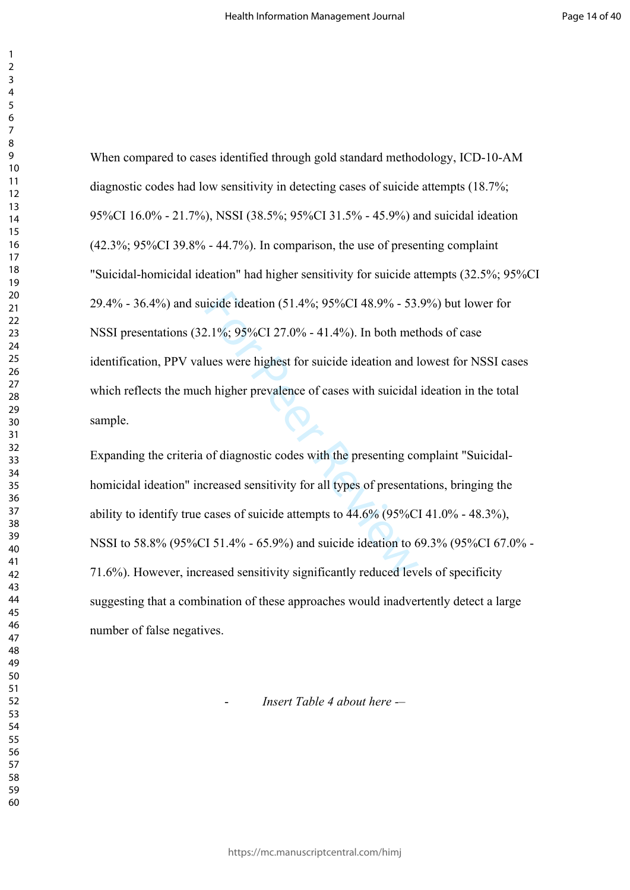icide ideation (51.4%; 95%CI 48.9% - 53.<br>
2.1%; 95%CI 27.0% - 41.4%). In both met<br>
lues were highest for suicide ideation and l<br>
h higher prevalence of cases with suicidal<br>
of diagnostic codes with the presenting co<br>
crea When compared to cases identified through gold standard methodology, ICD-10-AM diagnostic codes had low sensitivity in detecting cases of suicide attempts (18.7%; 95%CI 16.0% - 21.7%), NSSI (38.5%; 95%CI 31.5% - 45.9%) and suicidal ideation (42.3%; 95%CI 39.8% - 44.7%). In comparison, the use of presenting complaint "Suicidal-homicidal ideation" had higher sensitivity for suicide attempts (32.5%; 95%CI 29.4% - 36.4%) and suicide ideation (51.4%; 95%CI 48.9% - 53.9%) but lower for NSSI presentations (32.1%; 95%CI 27.0% - 41.4%). In both methods of case identification, PPV values were highest for suicide ideation and lowest for NSSI cases which reflects the much higher prevalence of cases with suicidal ideation in the total sample.

Expanding the criteria of diagnostic codes with the presenting complaint "Suicidalhomicidal ideation" increased sensitivity for all types of presentations, bringing the ability to identify true cases of suicide attempts to 44.6% (95%CI 41.0% - 48.3%), NSSI to 58.8% (95%CI 51.4% - 65.9%) and suicide ideation to 69.3% (95%CI 67.0% - 71.6%). However, increased sensitivity significantly reduced levels of specificity suggesting that a combination of these approaches would inadvertently detect a large number of false negatives.

- *Insert Table 4 about here -*–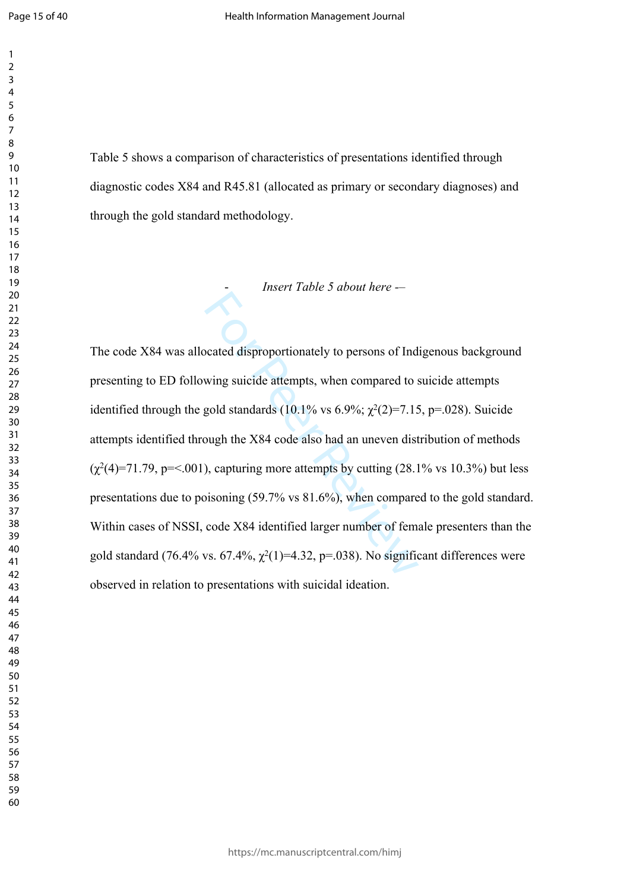$\mathbf{1}$ 

Table 5 shows a comparison of characteristics of presentations identified through diagnostic codes X84 and R45.81 (allocated as primary or secondary diagnoses) and through the gold standard methodology. - *Insert Table 5 about here -* –

ocated disproportionately to persons of Ind<br>wing suicide attempts, when compared to s<br>gold standards (10.1% vs 6.9%;  $\chi^2(2)=7.15$ <br>ough the X84 code also had an uneven dist<br>), capturing more attempts by cutting (28.1<br>biso The code X84 was allocated disproportionately to persons of Indigenous background presenting to ED following suicide attempts, when compared to suicide attempts identified through the gold standards  $(10.1\% \text{ vs } 6.9\%; \chi^2(2)=7.15, \text{ p} = .028)$ . Suicide attempts identified through the X84 code also had an uneven distribution of methods  $(\chi^2(4)=71.79, p=<.001)$ , capturing more attempts by cutting (28.1% vs 10.3%) but less presentations due to poisoning (59.7% vs 81.6%), when compared to the gold standard. Within cases of NSSI, code X84 identified larger number of female presenters than the gold standard (76.4% vs. 67.4%,  $\chi^2(1)=4.32$ , p=.038). No significant differences were observed in relation to presentations with suicidal ideation.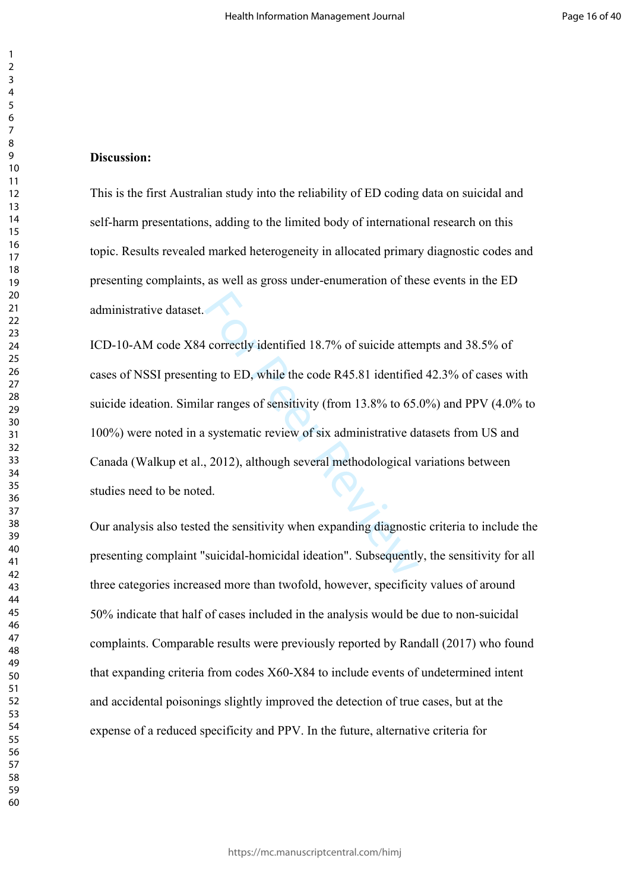#### **Discussion:**

This is the first Australian study into the reliability of ED coding data on suicidal and self-harm presentations, adding to the limited body of international research on this topic. Results revealed marked heterogeneity in allocated primary diagnostic codes and presenting complaints, as well as gross under-enumeration of these events in the ED administrative dataset.

correctly identified 18.7% of suicide atterng to ED, while the code R45.81 identified<br>ar ranges of sensitivity (from 13.8% to 65.<br>systematic review of six administrative da<br>, 2012), although several methodological v<br>d.<br>d t ICD-10-AM code X84 correctly identified 18.7% of suicide attempts and 38.5% of cases of NSSI presenting to ED, while the code R45.81 identified 42.3% of cases with suicide ideation. Similar ranges of sensitivity (from 13.8% to 65.0%) and PPV (4.0% to 100%) were noted in a systematic review of six administrative datasets from US and Canada (Walkup et al., 2012), although several methodological variations between studies need to be noted.

Our analysis also tested the sensitivity when expanding diagnostic criteria to include the presenting complaint "suicidal-homicidal ideation". Subsequently, the sensitivity for all three categories increased more than twofold, however, specificity values of around 50% indicate that half of cases included in the analysis would be due to non-suicidal complaints. Comparable results were previously reported by Randall (2017) who found that expanding criteria from codes X60-X84 to include events of undetermined intent and accidental poisonings slightly improved the detection of true cases, but at the expense of a reduced specificity and PPV. In the future, alternative criteria for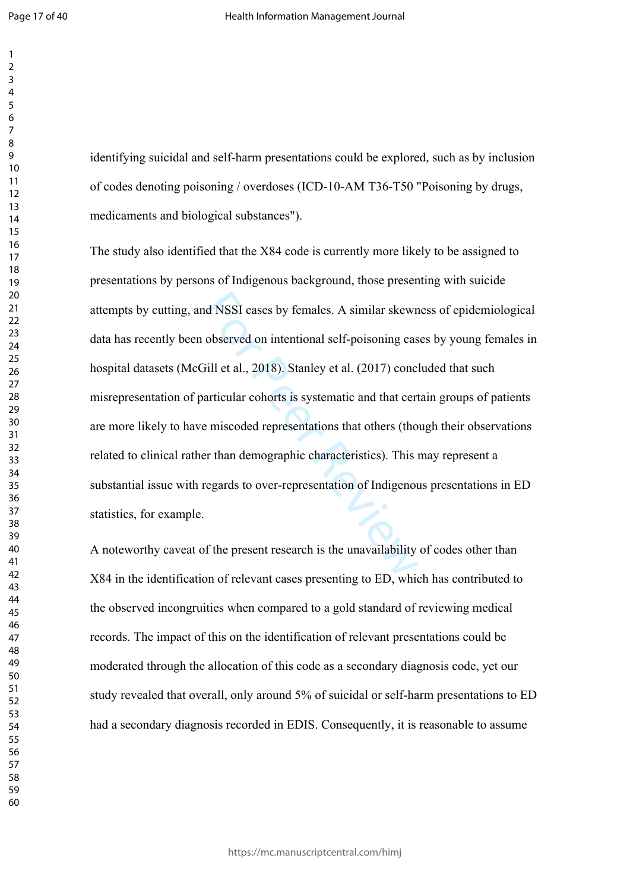identifying suicidal and self-harm presentations could be explored, such as by inclusion of codes denoting poisoning / overdoses (ICD-10-AM T36-T50 "Poisoning by drugs, medicaments and biological substances").

d NSSI cases by females. A similar skewn<br>observed on intentional self-poisoning cas<br>iill et al., 2018). Stanley et al. (2017) conc<br>articular cohorts is systematic and that cert<br>emiscoded representations that others (tho<br>er The study also identified that the X84 code is currently more likely to be assigned to presentations by persons of Indigenous background, those presenting with suicide attempts by cutting, and NSSI cases by females. A similar skewness of epidemiological data has recently been observed on intentional self-poisoning cases by young females in hospital datasets (McGill et al., 2018). Stanley et al. (2017) concluded that such misrepresentation of particular cohorts is systematic and that certain groups of patients are more likely to have miscoded representations that others (though their observations related to clinical rather than demographic characteristics). This may represent a substantial issue with regards to over-representation of Indigenous presentations in ED statistics, for example.

A noteworthy caveat of the present research is the unavailability of codes other than X84 in the identification of relevant cases presenting to ED, which has contributed to the observed incongruities when compared to a gold standard of reviewing medical records. The impact of this on the identification of relevant presentations could be moderated through the allocation of this code as a secondary diagnosis code, yet our study revealed that overall, only around 5% of suicidal or self-harm presentations to ED had a secondary diagnosis recorded in EDIS. Consequently, it is reasonable to assume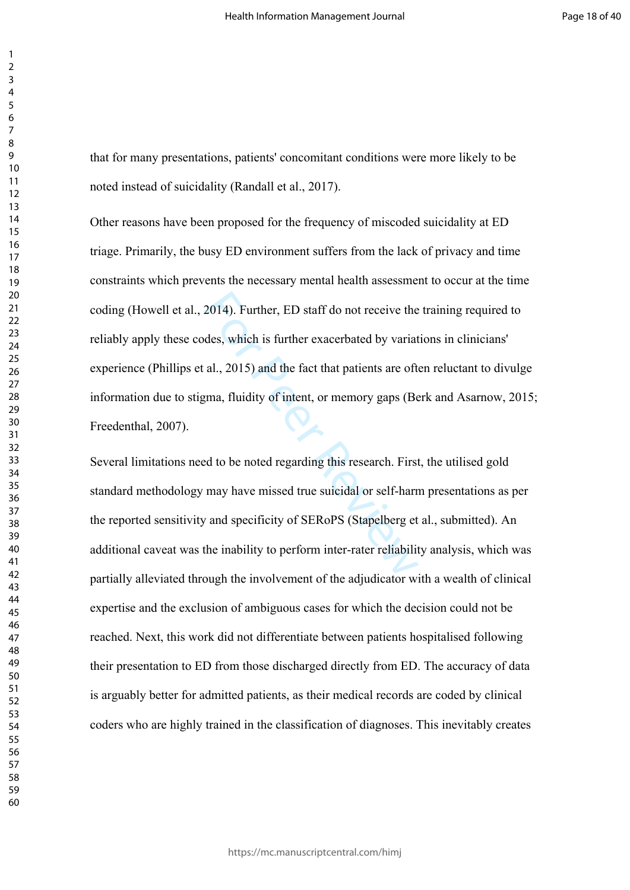that for many presentations, patients' concomitant conditions were more likely to be noted instead of suicidality (Randall et al., 2017).

2014). Further, ED staff do not receive the<br>des, which is further exacerbated by variat<br>al., 2015) and the fact that patients are oft<br>gma, fluidity of intent, or memory gaps (Be<br>d to be noted regarding this research. First Other reasons have been proposed for the frequency of miscoded suicidality at ED triage. Primarily, the busy ED environment suffers from the lack of privacy and time constraints which prevents the necessary mental health assessment to occur at the time coding (Howell et al., 2014). Further, ED staff do not receive the training required to reliably apply these codes, which is further exacerbated by variations in clinicians' experience (Phillips et al., 2015) and the fact that patients are often reluctant to divulge information due to stigma, fluidity of intent, or memory gaps (Berk and Asarnow, 2015; Freedenthal, 2007).

Several limitations need to be noted regarding this research. First, the utilised gold standard methodology may have missed true suicidal or self-harm presentations as per the reported sensitivity and specificity of SERoPS (Stapelberg et al., submitted). An additional caveat was the inability to perform inter-rater reliability analysis, which was partially alleviated through the involvement of the adjudicator with a wealth of clinical expertise and the exclusion of ambiguous cases for which the decision could not be reached. Next, this work did not differentiate between patients hospitalised following their presentation to ED from those discharged directly from ED. The accuracy of data is arguably better for admitted patients, as their medical records are coded by clinical coders who are highly trained in the classification of diagnoses. This inevitably creates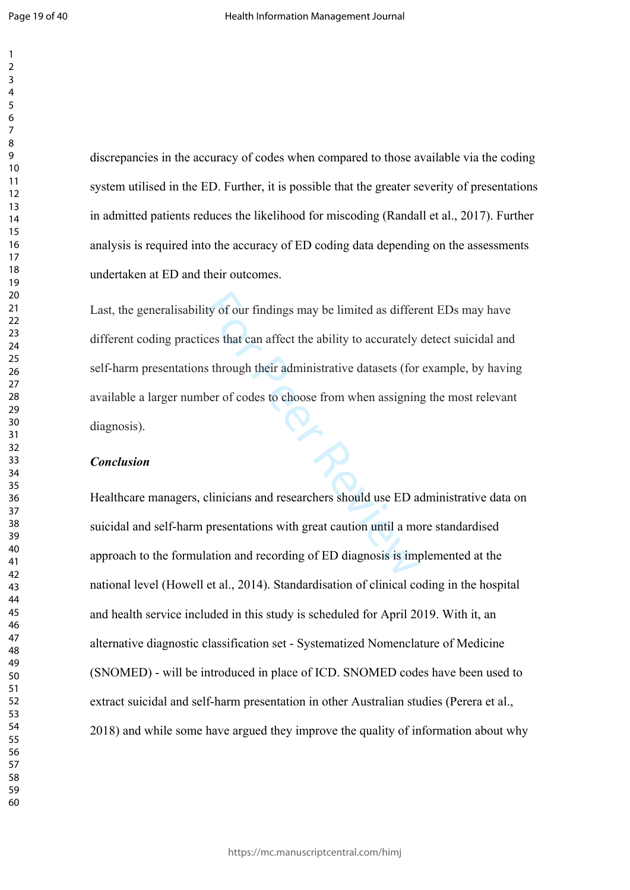discrepancies in the accuracy of codes when compared to those available via the coding system utilised in the ED. Further, it is possible that the greater severity of presentations in admitted patients reduces the likelihood for miscoding (Randall et al., 2017). Further analysis is required into the accuracy of ED coding data depending on the assessments undertaken at ED and their outcomes.

ty of our findings may be limited as differ<br>ces that can affect the ability to accurately<br>s through their administrative datasets (for<br>ber of codes to choose from when assignin<br>clinicians and researchers should use ED a<br>pr Last, the generalisability of our findings may be limited as different EDs may have different coding practices that can affect the ability to accurately detect suicidal and self-harm presentations through their administrative datasets (for example, by having available a larger number of codes to choose from when assigning the most relevant diagnosis).

#### *Conclusion*

Healthcare managers, clinicians and researchers should use ED administrative data on suicidal and self-harm presentations with great caution until a more standardised approach to the formulation and recording of ED diagnosis is implemented at the national level (Howell et al., 2014). Standardisation of clinical coding in the hospital and health service included in this study is scheduled for April 2019. With it, an alternative diagnostic classification set - Systematized Nomenclature of Medicine (SNOMED) - will be introduced in place of ICD. SNOMED codes have been used to extract suicidal and self-harm presentation in other Australian studies (Perera et al., 2018) and while some have argued they improve the quality of information about why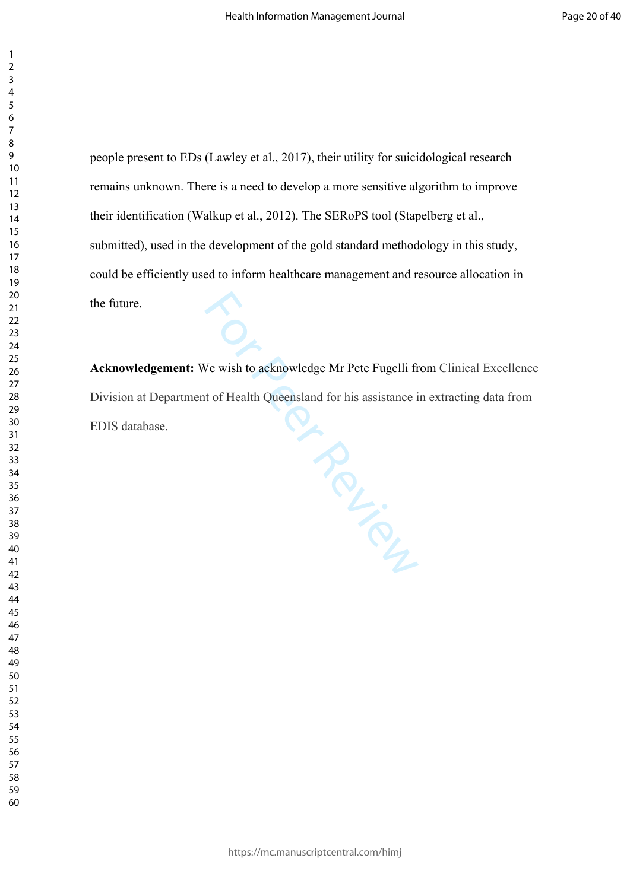people present to EDs (Lawley et al., 2017), their utility for suicidological research remains unknown. There is a need to develop a more sensitive algorithm to improve their identification (Walkup et al., 2012). The SERoPS tool (Stapelberg et al., submitted), used in the development of the gold standard methodology in this study, could be efficiently used to inform healthcare management and resource allocation in the future.

For We wish to acknowledge Mr Pete Fugelli from (<br>t of Health Queensland for his assistance in ex **Acknowledgement:** We wish to acknowledge Mr Pete Fugelli from Clinical Excellence Division at Department of Health Queensland for his assistance in extracting data from EDIS database.

https://mc.manuscriptcentral.com/himj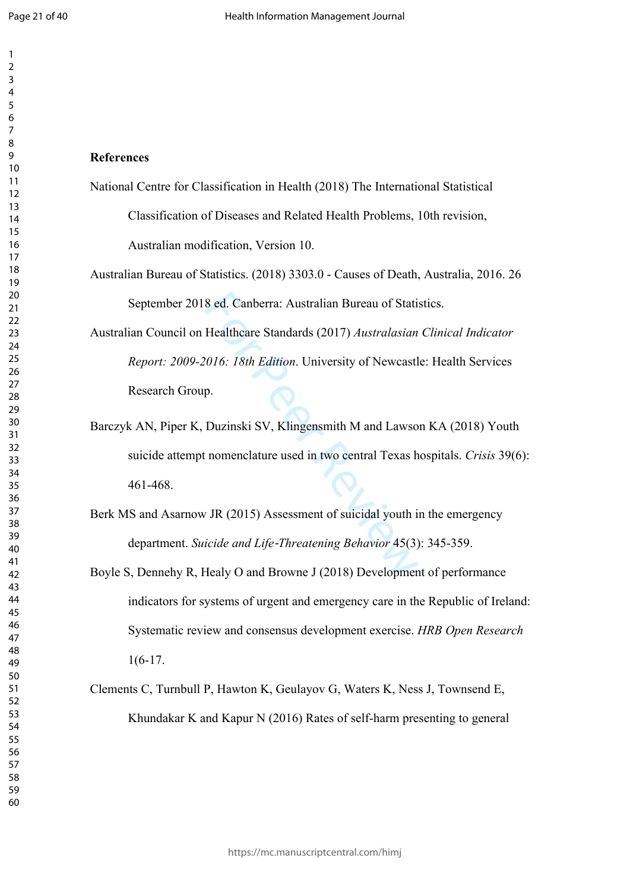$\mathbf{1}$ 

#### **References**

National Centre for Classification in Health (2018) The International Statistical

Classification of Diseases and Related Health Problems, 10th revision, Australian modification, Version 10.

Australian Bureau of Statistics. (2018) 3303.0 - Causes of Death, Australia, 2016. 26 September 2018 ed. Canberra: Australian Bureau of Statistics.

8 ed. Canberra: Australian Bureau of Stati<br>Healthcare Standards (2017) *Australasian*<br>2016: 18th Edition. University of Newcastl<br>p.<br>Duzinski SV, Klingensmith M and Lawso<br>1 nomenclature used in two central Texas h<br>7 JR (201 Australian Council on Healthcare Standards (2017) *Australasian Clinical Indicator Report: 2009-2016: 18th Edition*. University of Newcastle: Health Services Research Group.

Barczyk AN, Piper K, Duzinski SV, Klingensmith M and Lawson KA (2018) Youth suicide attempt nomenclature used in two central Texas hospitals. *Crisis* 39(6): 461-468.

Berk MS and Asarnow JR (2015) Assessment of suicidal youth in the emergency department. *Suicide and Life ‐Threatening Behavior* 45(3): 345-359.

Boyle S, Dennehy R, Healy O and Browne J (2018) Development of performance indicators for systems of urgent and emergency care in the Republic of Ireland: Systematic review and consensus development exercise. *HRB Open Research* 1(6-17.

Clements C, Turnbull P, Hawton K, Geulayov G, Waters K, Ness J, Townsend E, Khundakar K and Kapur N (2016) Rates of self-harm presenting to general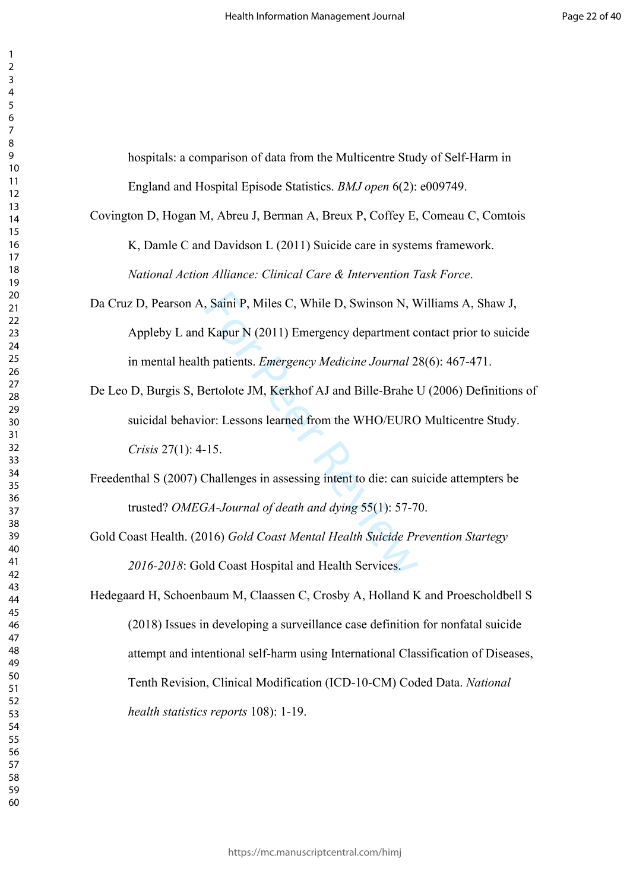hospitals: a comparison of data from the Multicentre Study of Self-Harm in England and Hospital Episode Statistics. *BMJ open* 6(2): e009749.

- Covington D, Hogan M, Abreu J, Berman A, Breux P, Coffey E, Comeau C, Comtois K, Damle C and Davidson L (2011) Suicide care in systems framework. *National Action Alliance: Clinical Care & Intervention Task Force*.
- Da Cruz D, Pearson A, Saini P, Miles C, While D, Swinson N, Williams A, Shaw J, Appleby L and Kapur N (2011) Emergency department contact prior to suicide in mental health patients. *Emergency Medicine Journal* 28(6): 467-471.
- Saini P, Miles C, While D, Swinson N, V,<br>Kapur N (2011) Emergency department c<br>h patients. *Emergency Medicine Journal* 2<br>ertolote JM, Kerkhof AJ and Bille-Brahe l<br>or: Lessons learned from the WHO/EURC<br>15.<br>Challenges in as De Leo D, Burgis S, Bertolote JM, Kerkhof AJ and Bille-Brahe U (2006) Definitions of suicidal behavior: Lessons learned from the WHO/EURO Multicentre Study. *Crisis* 27(1): 4-15.
- Freedenthal S (2007) Challenges in assessing intent to die: can suicide attempters be trusted? *OMEGA-Journal of death and dying* 55(1): 57-70.
- Gold Coast Health. (2016) *Gold Coast Mental Health Suicide Prevention Startegy 2016-2018*: Gold Coast Hospital and Health Services.
- Hedegaard H, Schoenbaum M, Claassen C, Crosby A, Holland K and Proescholdbell S (2018) Issues in developing a surveillance case definition for nonfatal suicide attempt and intentional self-harm using International Classification of Diseases, Tenth Revision, Clinical Modification (ICD-10-CM) Coded Data. *National health statistics reports* 108): 1-19.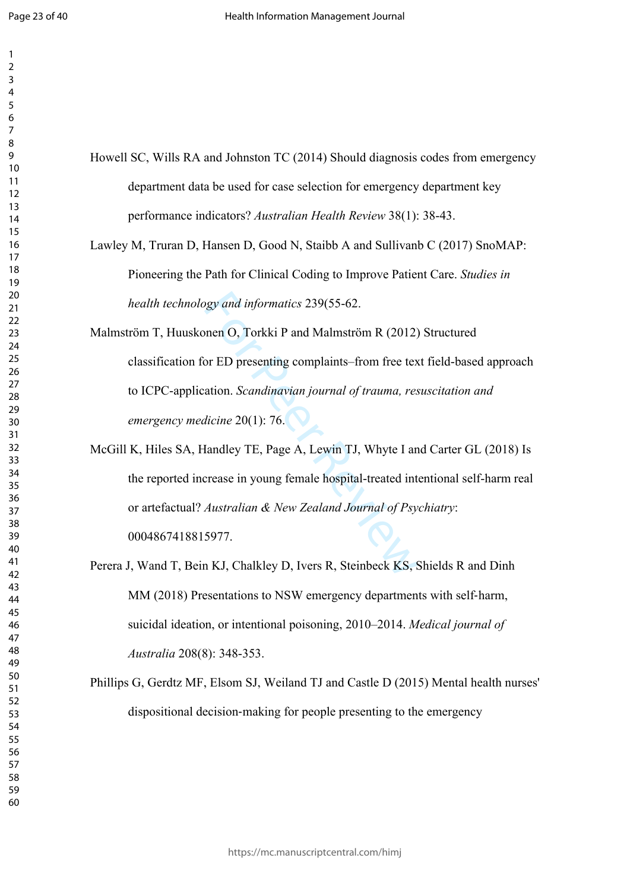$\mathbf{1}$ 

- Howell SC, Wills RA and Johnston TC (2014) Should diagnosis codes from emergency department data be used for case selection for emergency department key performance indicators? *Australian Health Review* 38(1): 38-43.
- Lawley M, Truran D, Hansen D, Good N, Staibb A and Sullivanb C (2017) SnoMAP: Pioneering the Path for Clinical Coding to Improve Patient Care. *Studies in health technology and informatics* 239(55-62.
- or *and informatics* 239(55-62.<br>
Some D, Torkki P and Malmström R (2012)<br>
Dor ED presenting complaints–from free tex<br>
ation. *Scandinavian journal of trauma, res*<br>
dicine 20(1): 76.<br>
Jandley TE, Page A, Lewin TJ, Whyte I a Malmström T, Huuskonen O, Torkki P and Malmström R (2012) Structured classification for ED presenting complaints–from free text field-based approach to ICPC-application. *Scandinavian journal of trauma, resuscitation and emergency medicine* 20(1): 76.
- McGill K, Hiles SA, Handley TE, Page A, Lewin TJ, Whyte I and Carter GL (2018) Is the reported increase in young female hospital-treated intentional self-harm real or artefactual? *Australian & New Zealand Journal of Psychiatry*: 0004867418815977.
- Perera J, Wand T, Bein KJ, Chalkley D, Ivers R, Steinbeck KS, Shields R and Dinh MM (2018) Presentations to NSW emergency departments with self-harm, suicidal ideation, or intentional poisoning, 2010–2014. *Medical journal of Australia* 208(8): 348-353.
- Phillips G, Gerdtz MF, Elsom SJ, Weiland TJ and Castle D (2015) Mental health nurses' dispositional decision ‐making for people presenting to the emergency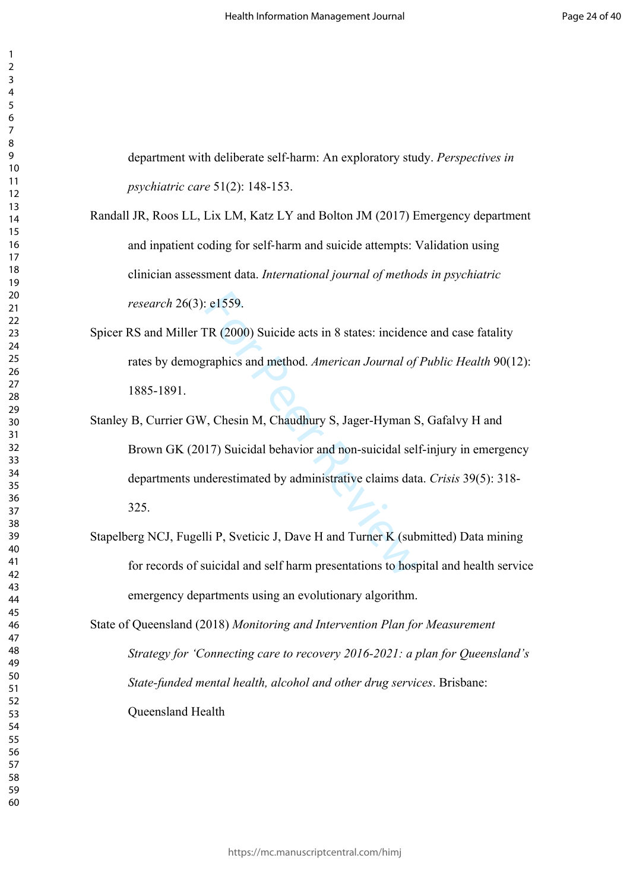department with deliberate self‐harm: An exploratory study. *Perspectives in psychiatric care* 51(2): 148-153.

- Randall JR, Roos LL, Lix LM, Katz LY and Bolton JM (2017) Emergency department and inpatient coding for self‐harm and suicide attempts: Validation using clinician assessment data. *International journal of methods in psychiatric research* 26(3): e1559.
- Spicer RS and Miller TR (2000) Suicide acts in 8 states: incidence and case fatality rates by demographics and method. *American Journal of Public Health* 90(12): 1885-1891.
- et et al. The C2000 Suicide acts in 8 states: incidend<br>
ER (2000) Suicide acts in 8 states: incidend<br>
Fraphics and method. American Journal of<br>
J. Chesin M, Chaudhury S, Jager-Hyman S<br>
17) Suicidal behavior and non-suicida Stanley B, Currier GW, Chesin M, Chaudhury S, Jager-Hyman S, Gafalvy H and Brown GK (2017) Suicidal behavior and non-suicidal self-injury in emergency departments underestimated by administrative claims data. *Crisis* 39(5): 318- 325.
- Stapelberg NCJ, Fugelli P, Sveticic J, Dave H and Turner K (submitted) Data mining for records of suicidal and self harm presentations to hospital and health service emergency departments using an evolutionary algorithm.
- State of Queensland (2018) *Monitoring and Intervention Plan for Measurement Strategy for 'Connecting care to recovery 2016-2021: a plan for Queensland's State-funded mental health, alcohol and other drug services*. Brisbane: Queensland Health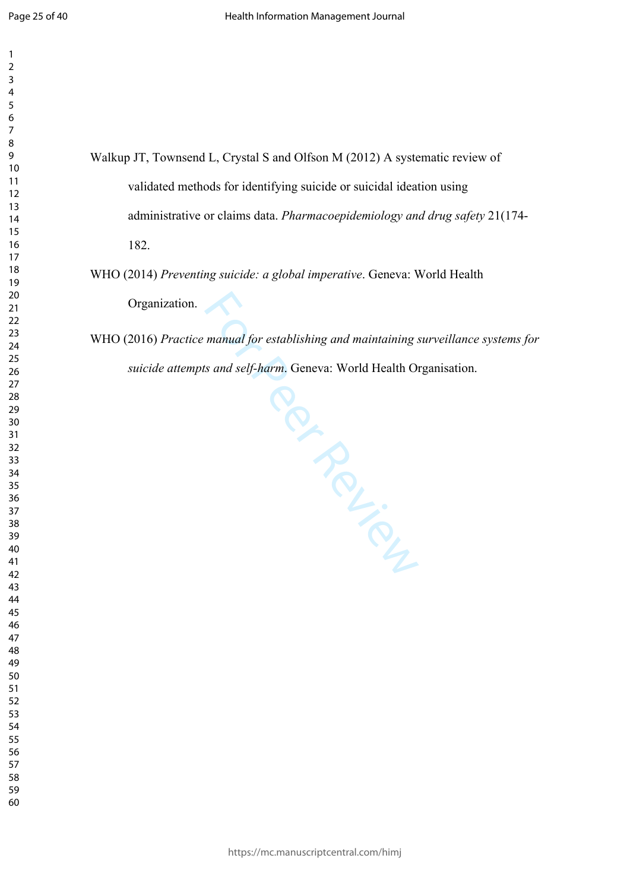| 1                  |  |
|--------------------|--|
| $\overline{c}$     |  |
| 3<br>4             |  |
|                    |  |
| 5                  |  |
| 6<br>7<br>8        |  |
|                    |  |
|                    |  |
| 9                  |  |
| 10                 |  |
| $\overline{11}$    |  |
| $\overline{12}$    |  |
| 13                 |  |
| $\overline{14}$    |  |
| 15                 |  |
| $\frac{16}{2}$     |  |
| 17<br>18           |  |
|                    |  |
| 19                 |  |
| 20                 |  |
| $\overline{21}$    |  |
| .<br>22<br>.<br>23 |  |
| 24                 |  |
| 25                 |  |
|                    |  |
| 26<br>27           |  |
| 28                 |  |
| 29                 |  |
| 30                 |  |
| 31                 |  |
| 32                 |  |
| 33                 |  |
| 34                 |  |
| 35                 |  |
| 36                 |  |
| 37                 |  |
| Rξ                 |  |
| 39                 |  |
| 40                 |  |
| 41                 |  |
| 42                 |  |
| 43                 |  |
| 44                 |  |
| 45                 |  |
| 46                 |  |
| 47                 |  |
| 48                 |  |
| 49                 |  |
| 50                 |  |
| 51                 |  |
| 52                 |  |
| 53                 |  |
| 54                 |  |
| 55                 |  |
| 56                 |  |
| 57                 |  |
| 58                 |  |

  Walkup JT, Townsend L, Crystal S and Olfson M (2012) A systematic review of validated methods for identifying suicide or suicidal ideation using administrative or claims data. *Pharmacoepidemiology and drug safety* 21(174- 182.

WHO (2014) *Preventing suicide: a global imperative*. Geneva: World Health Organization.

WHO (2016) *Practice manual for establishing and maintaining surveillance systems for suicide attempts and self-harm*. Geneva: World Health Organisation.

Per Person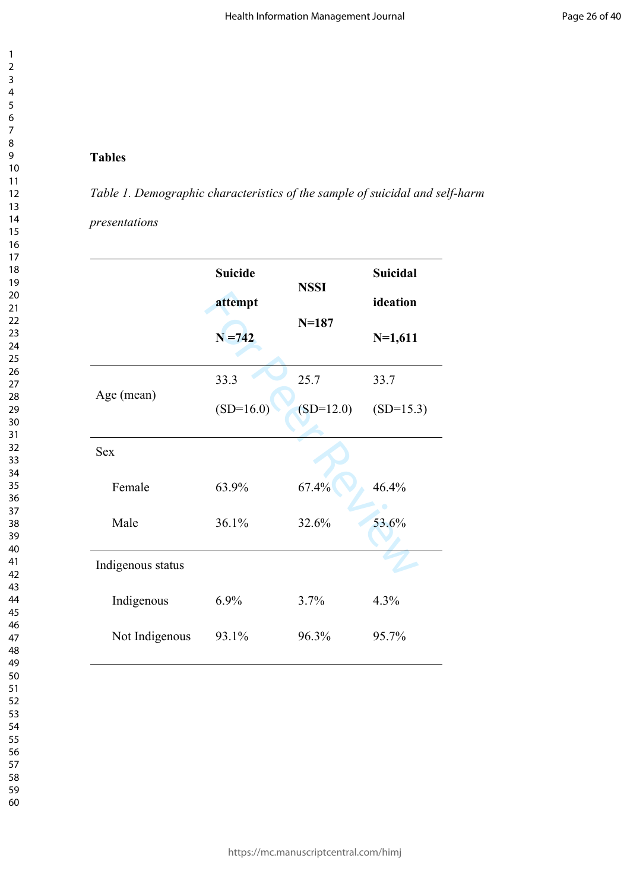### **Tables**

*Table 1. Demographic characteristics of the sample of suicidal and self-harm* 

#### *presentations*

|                   | <b>Suicide</b> | <b>NSSI</b> | <b>Suicidal</b> |
|-------------------|----------------|-------------|-----------------|
|                   | attempt        |             | ideation        |
|                   | $N = 742$      | $N = 187$   | $N=1,611$       |
|                   | 33.3           | 25.7        | 33.7            |
| Age (mean)        | $(SD=16.0)$    | $(SD=12.0)$ | $(SD=15.3)$     |
| <b>Sex</b>        |                |             |                 |
| Female            | 63.9%          | 67.4%       | 46.4%           |
| Male              | 36.1%          | 32.6%       | 53.6%           |
| Indigenous status |                |             |                 |
| Indigenous        | 6.9%           | 3.7%        | 4.3%            |
| Not Indigenous    | 93.1%          | 96.3%       | 95.7%           |

60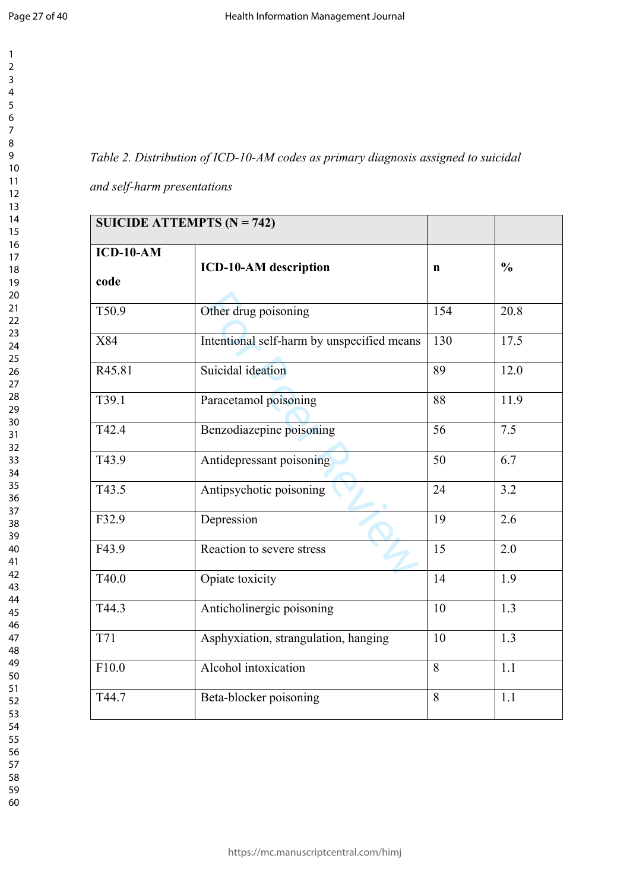$\mathbf{1}$  $\overline{2}$  $\overline{3}$  $\overline{4}$  $\overline{7}$  $\overline{9}$ 

 

## *Table 2. Distribution of ICD-10-AM codes as primary diagnosis assigned to suicidal*

*and self-harm presentations*

| SUICIDE ATTEMPTS ( $N = 742$ ) |                                            |             |               |
|--------------------------------|--------------------------------------------|-------------|---------------|
| $ICD-10-AM$<br>code            | <b>ICD-10-AM</b> description               | $\mathbf n$ | $\frac{0}{0}$ |
| T50.9                          | Other drug poisoning                       | 154         | 20.8          |
| X84                            | Intentional self-harm by unspecified means | 130         | 17.5          |
| R45.81                         | Suicidal ideation                          | 89          | 12.0          |
| T39.1                          | Paracetamol poisoning                      | 88          | 11.9          |
| T42.4                          | Benzodiazepine poisoning                   | 56          | 7.5           |
| T43.9                          | Antidepressant poisoning                   | 50          | 6.7           |
| T43.5                          | Antipsychotic poisoning                    | 24          | 3.2           |
| F32.9                          | Depression                                 | 19          | 2.6           |
| F43.9                          | Reaction to severe stress                  | 15          | 2.0           |
| T40.0                          | Opiate toxicity                            | 14          | 1.9           |
| T44.3                          | Anticholinergic poisoning                  | 10          | 1.3           |
| <b>T71</b>                     | Asphyxiation, strangulation, hanging       | 10          | 1.3           |
| F10.0                          | Alcohol intoxication                       | 8           | 1.1           |
| T44.7                          | Beta-blocker poisoning                     | 8           | 1.1           |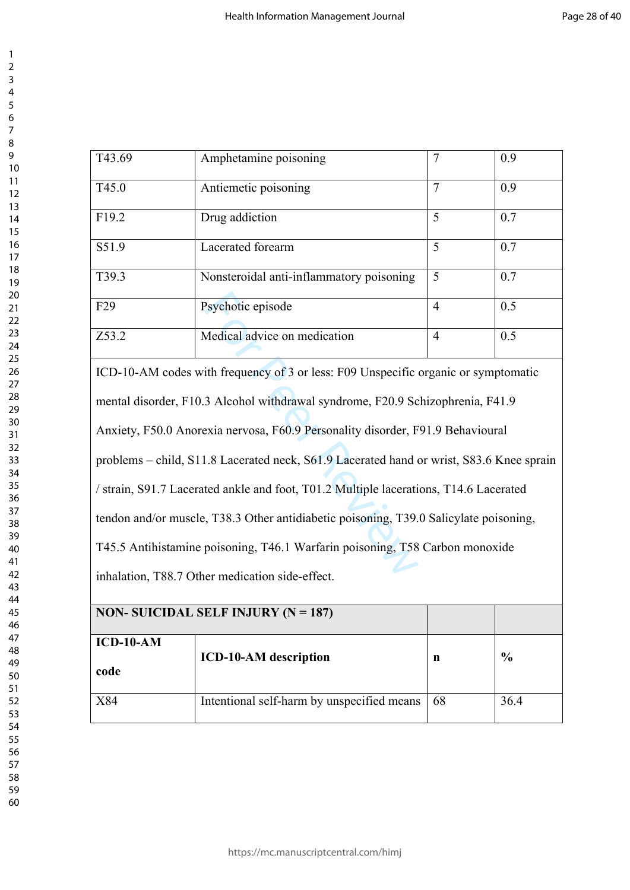| 3                 |  |
|-------------------|--|
| 4                 |  |
| 5                 |  |
| 6                 |  |
|                   |  |
| 7<br>8            |  |
|                   |  |
|                   |  |
| 9<br>10           |  |
| 1<br>$\mathbf{1}$ |  |
| 1<br>2            |  |
|                   |  |
| 13<br>14<br>15    |  |
|                   |  |
|                   |  |
| 16<br>17<br>18    |  |
|                   |  |
|                   |  |
|                   |  |
| 19                |  |
| 20                |  |
| $\overline{21}$   |  |
| $\overline{22}$   |  |
| --<br>23          |  |
| 24                |  |
| 25                |  |
|                   |  |
| 26                |  |
| $\overline{27}$   |  |
| 28                |  |
| 29                |  |
|                   |  |
| 30                |  |
|                   |  |
| 31<br>32<br>33    |  |
|                   |  |
| 34                |  |
| 35                |  |
|                   |  |
| 36                |  |
| 37                |  |
| 38                |  |
| 39                |  |
| 40                |  |
|                   |  |
| 41                |  |
| 42                |  |
| 4:<br>ξ           |  |
| 44                |  |
| 45                |  |
| 46                |  |
|                   |  |
| 47                |  |
| 48                |  |
| 49                |  |
| 50                |  |
| 51                |  |
|                   |  |
| 52                |  |
| 53                |  |
| 54                |  |
| 55                |  |
| 56                |  |
|                   |  |
| 57                |  |
| 58                |  |
| 59                |  |

  $\overline{2}$ 

| T43.69                                                                                   | Amphetamine poisoning                                                              | $\overline{7}$ | 0.9 |  |
|------------------------------------------------------------------------------------------|------------------------------------------------------------------------------------|----------------|-----|--|
| T45.0                                                                                    | Antiemetic poisoning                                                               | $\overline{7}$ | 0.9 |  |
| F19.2                                                                                    | Drug addiction                                                                     | 5              | 0.7 |  |
| S51.9                                                                                    | Lacerated forearm                                                                  | 5              | 0.7 |  |
| T39.3                                                                                    | Nonsteroidal anti-inflammatory poisoning                                           | 5              | 0.7 |  |
| F <sub>29</sub>                                                                          | Psychotic episode                                                                  | $\overline{4}$ | 0.5 |  |
| Z53.2                                                                                    | Medical advice on medication                                                       | $\overline{4}$ | 0.5 |  |
|                                                                                          | ICD-10-AM codes with frequency of 3 or less: F09 Unspecific organic or symptomatic |                |     |  |
| mental disorder, F10.3 Alcohol withdrawal syndrome, F20.9 Schizophrenia, F41.9           |                                                                                    |                |     |  |
| Anxiety, F50.0 Anorexia nervosa, F60.9 Personality disorder, F91.9 Behavioural           |                                                                                    |                |     |  |
| problems – child, S11.8 Lacerated neck, S61.9 Lacerated hand or wrist, S83.6 Knee sprain |                                                                                    |                |     |  |
| / strain, S91.7 Lacerated ankle and foot, T01.2 Multiple lacerations, T14.6 Lacerated    |                                                                                    |                |     |  |
| tendon and/or muscle, T38.3 Other antidiabetic poisoning, T39.0 Salicylate poisoning,    |                                                                                    |                |     |  |
| T45.5 Antihistamine poisoning, T46.1 Warfarin poisoning, T58 Carbon monoxide             |                                                                                    |                |     |  |
| inhalation. T88.7 Other medication side-effect.                                          |                                                                                    |                |     |  |

inhalation, T88.7 Other medication side-effect.

|             | NON- SUICIDAL SELF INJURY ( $N = 187$ )    |    |               |
|-------------|--------------------------------------------|----|---------------|
| $ICD-10-AM$ | <b>ICD-10-AM</b> description               |    | $\frac{6}{6}$ |
| code        |                                            | n  |               |
| X84         | Intentional self-harm by unspecified means | 68 | 36.4          |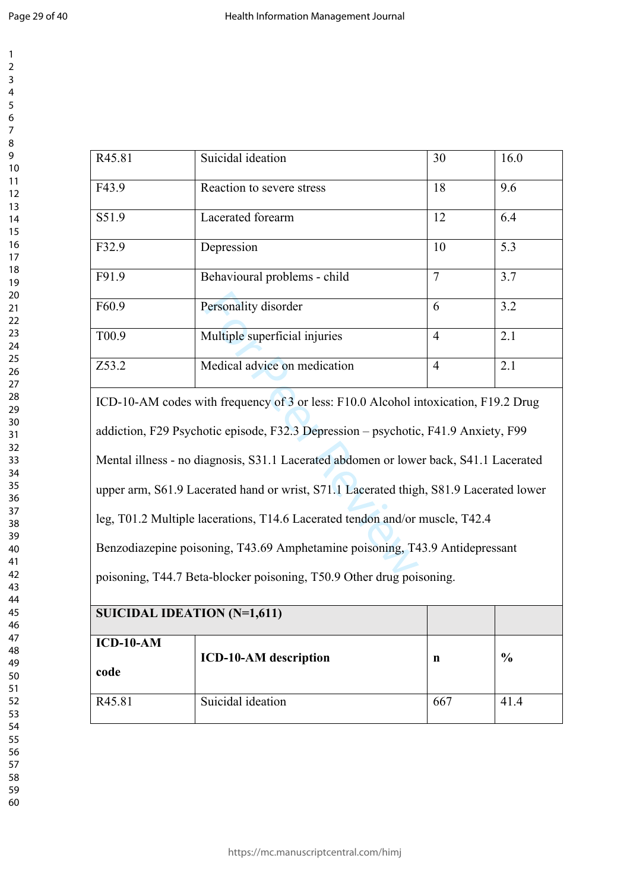| Suicidal ideation             | 30             | 16.0 |
|-------------------------------|----------------|------|
| Reaction to severe stress     | 18             | 9.6  |
| Lacerated forearm             | 12             | 6.4  |
| Depression                    | 10             | 5.3  |
| Behavioural problems - child  | 7              | 3.7  |
| Personality disorder          | 6              | 3.2  |
| Multiple superficial injuries | $\overline{4}$ | 2.1  |
| Medical advice on medication  | $\overline{4}$ | 2.1  |
|                               |                |      |

Personality disorder<br>
Multiple superficial injuries<br>
Medical advice on medication<br>
ith frequency of 3 or less: F10.0 Alcohol in<br>
otic episode, F32.3 Depression – psychotic<br>
agnosis, S31.1 Lacerated abdomen or lower<br>
erated ICD-10-AM codes with frequency of 3 or less: F10.0 Alcohol intoxication, F19.2 Drug addiction, F29 Psychotic episode, F32.3 Depression – psychotic, F41.9 Anxiety, F99 Mental illness - no diagnosis, S31.1 Lacerated abdomen or lower back, S41.1 Lacerated upper arm, S61.9 Lacerated hand or wrist, S71.1 Lacerated thigh, S81.9 Lacerated lower leg, T01.2 Multiple lacerations, T14.6 Lacerated tendon and/or muscle, T42.4 Benzodiazepine poisoning, T43.69 Amphetamine poisoning, T43.9 Antidepressant poisoning, T44.7 Beta-blocker poisoning, T50.9 Other drug poisoning.

| <b>SUICIDAL IDEATION (N=1,611)</b> |                              |     |               |
|------------------------------------|------------------------------|-----|---------------|
| $ICD-10-AM$<br>code                | <b>ICD-10-AM</b> description | n   | $\frac{0}{0}$ |
| R <sub>45.81</sub>                 | Suicidal ideation            | 667 | 41.4          |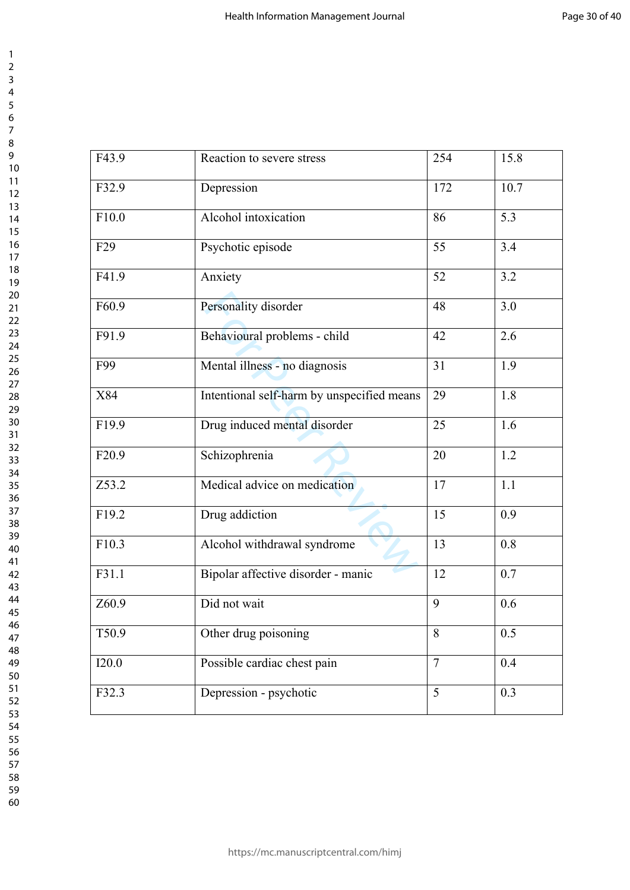| F43.9           | Reaction to severe stress                  | 254            | 15.8 |
|-----------------|--------------------------------------------|----------------|------|
| F32.9           | Depression                                 | 172            | 10.7 |
| F10.0           | Alcohol intoxication                       | 86             | 5.3  |
| F <sub>29</sub> | Psychotic episode                          | 55             | 3.4  |
| F41.9           | Anxiety                                    | 52             | 3.2  |
| F60.9           | Personality disorder                       | 48             | 3.0  |
| F91.9           | Behavioural problems - child               | 42             | 2.6  |
| F99             | Mental illness - no diagnosis              | 31             | 1.9  |
| X84             | Intentional self-harm by unspecified means | 29             | 1.8  |
| F19.9           | Drug induced mental disorder               | 25             | 1.6  |
| F20.9           | Schizophrenia                              | 20             | 1.2  |
| Z53.2           | Medical advice on medication               | 17             | 1.1  |
| F19.2           | Drug addiction                             | 15             | 0.9  |
| F10.3           | Alcohol withdrawal syndrome                | 13             | 0.8  |
| F31.1           | Bipolar affective disorder - manic         | 12             | 0.7  |
| Z60.9           | Did not wait                               | 9              | 0.6  |
| T50.9           | Other drug poisoning                       | 8              | 0.5  |
| I20.0           | Possible cardiac chest pain                | $\overline{7}$ | 0.4  |
| F32.3           | Depression - psychotic                     | 5              | 0.3  |

https://mc.manuscriptcentral.com/himj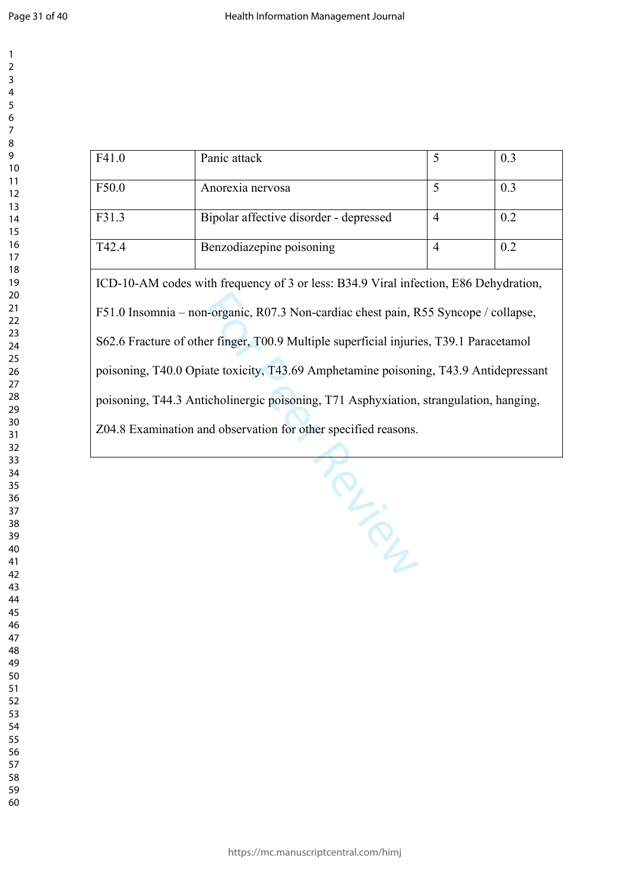$\mathbf{1}$  $\overline{2}$  $\overline{3}$ 

| F41.0 | Panic attack                                                                                                                                                                                                                                                                                                                                                                                                                                                                                                             | 5              | 0.3 |  |
|-------|--------------------------------------------------------------------------------------------------------------------------------------------------------------------------------------------------------------------------------------------------------------------------------------------------------------------------------------------------------------------------------------------------------------------------------------------------------------------------------------------------------------------------|----------------|-----|--|
| F50.0 | Anorexia nervosa                                                                                                                                                                                                                                                                                                                                                                                                                                                                                                         | 5              | 0.3 |  |
| F31.3 | Bipolar affective disorder - depressed                                                                                                                                                                                                                                                                                                                                                                                                                                                                                   | $\overline{4}$ | 0.2 |  |
| T42.4 | Benzodiazepine poisoning                                                                                                                                                                                                                                                                                                                                                                                                                                                                                                 | $\overline{4}$ | 0.2 |  |
|       | ICD-10-AM codes with frequency of 3 or less: B34.9 Viral infection, E86 Dehydration,<br>F51.0 Insomnia - non-organic, R07.3 Non-cardiac chest pain, R55 Syncope / collapse,<br>S62.6 Fracture of other finger, T00.9 Multiple superficial injuries, T39.1 Paracetamol<br>poisoning, T40.0 Opiate toxicity, T43.69 Amphetamine poisoning, T43.9 Antidepressant<br>poisoning, T44.3 Anticholinergic poisoning, T71 Asphyxiation, strangulation, hanging,<br>Z04.8 Examination and observation for other specified reasons. |                |     |  |
|       | $L_{\stackrel{\cdot}{\sim}}$                                                                                                                                                                                                                                                                                                                                                                                                                                                                                             |                |     |  |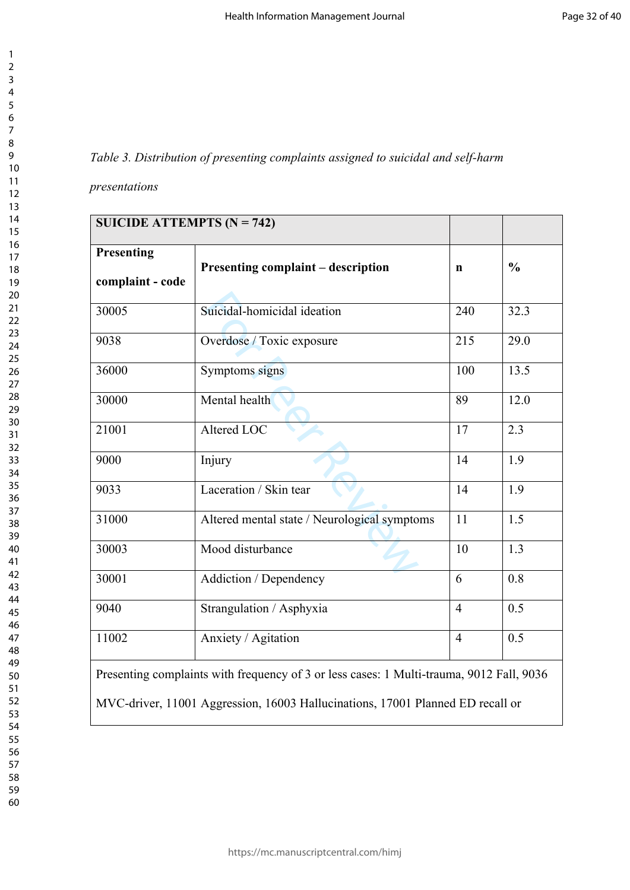## *Table 3. Distribution of presenting complaints assigned to suicidal and self-harm*

*presentations*

| SUICIDE ATTEMPTS ( $N = 742$ )                                                                                                                                             |                                              |                |               |
|----------------------------------------------------------------------------------------------------------------------------------------------------------------------------|----------------------------------------------|----------------|---------------|
| Presenting<br>complaint - code                                                                                                                                             | <b>Presenting complaint – description</b>    | $\mathbf n$    | $\frac{0}{0}$ |
| 30005                                                                                                                                                                      | Suicidal-homicidal ideation                  | 240            | 32.3          |
| 9038                                                                                                                                                                       | Overdose / Toxic exposure                    | 215            | 29.0          |
| 36000                                                                                                                                                                      | Symptoms signs                               | 100            | 13.5          |
| 30000                                                                                                                                                                      | Mental health                                | 89             | 12.0          |
| 21001                                                                                                                                                                      | Altered LOC                                  | 17             | 2.3           |
| 9000                                                                                                                                                                       | Injury                                       | 14             | 1.9           |
| 9033                                                                                                                                                                       | Laceration / Skin tear                       | 14             | 1.9           |
| 31000                                                                                                                                                                      | Altered mental state / Neurological symptoms | 11             | 1.5           |
| 30003                                                                                                                                                                      | Mood disturbance                             | 10             | 1.3           |
| 30001                                                                                                                                                                      | Addiction / Dependency                       | 6              | 0.8           |
| 9040                                                                                                                                                                       | Strangulation / Asphyxia                     | $\overline{4}$ | 0.5           |
| 11002                                                                                                                                                                      | Anxiety / Agitation                          | $\overline{4}$ | 0.5           |
| Presenting complaints with frequency of 3 or less cases: 1 Multi-trauma, 9012 Fall, 9036<br>MVC-driver, 11001 Aggression, 16003 Hallucinations, 17001 Planned ED recall or |                                              |                |               |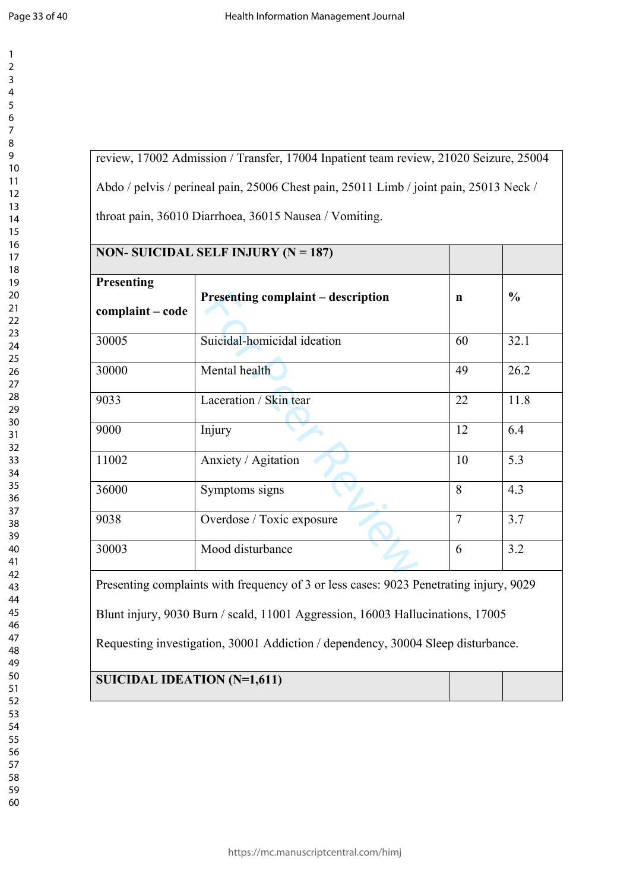$\mathbf{1}$  $\overline{2}$  $\overline{3}$  $\overline{4}$ 

review, 17002 Admission / Transfer, 17004 Inpatient team review, 21020 Seizure, 25004 Abdo / pelvis / perineal pain, 25006 Chest pain, 25011 Limb / joint pain, 25013 Neck / throat pain, 36010 Diarrhoea, 36015 Nausea / Vomiting.

|                                | NON- SUICIDAL SELF INJURY ( $N = 187$ )                                                |             |               |  |
|--------------------------------|----------------------------------------------------------------------------------------|-------------|---------------|--|
| Presenting<br>complaint - code | <b>Presenting complaint – description</b>                                              | $\mathbf n$ | $\frac{0}{0}$ |  |
| 30005                          | Suicidal-homicidal ideation                                                            | 60          | 32.1          |  |
| 30000                          | Mental health                                                                          | 49          | 26.2          |  |
| 9033                           | Laceration / Skin tear                                                                 | 22          | 11.8          |  |
| 9000                           | Injury                                                                                 | 12          | 6.4           |  |
| 11002                          | Anxiety / Agitation                                                                    | 10          | 5.3           |  |
| 36000                          | Symptoms signs                                                                         | 8           | 4.3           |  |
| 9038                           | $\overline{7}$<br>3.7<br>Overdose / Toxic exposure                                     |             |               |  |
| 30003                          | Mood disturbance                                                                       | 6           | 3.2           |  |
|                                | Presenting complaints with frequency of 3 or less cases: 9023 Penetrating injury, 9029 |             |               |  |
|                                | Blunt injury, 9030 Burn / scald, 11001 Aggression, 16003 Hallucinations, 17005         |             |               |  |
|                                | Requesting investigation, 30001 Addiction / dependency, 30004 Sleep disturbance.       |             |               |  |

# **SUICIDAL IDEATION (N=1,611)**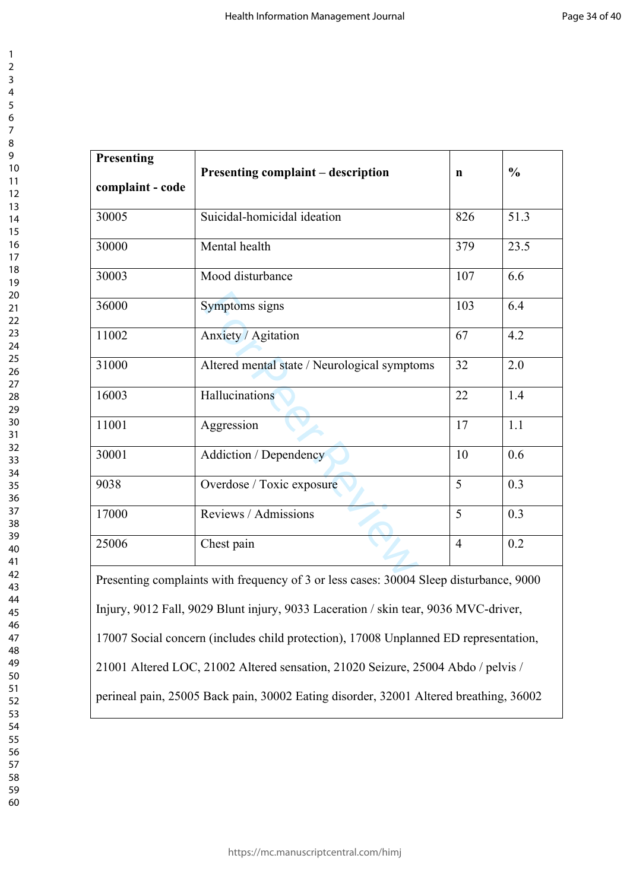| Presenting       |                                                                                        |                | $\frac{0}{0}$ |  |
|------------------|----------------------------------------------------------------------------------------|----------------|---------------|--|
| complaint - code | <b>Presenting complaint – description</b>                                              | n              |               |  |
| 30005            | Suicidal-homicidal ideation                                                            | 826            | 51.3          |  |
| 30000            | Mental health                                                                          | 379            | 23.5          |  |
| 30003            | Mood disturbance                                                                       | 107            | 6.6           |  |
| 36000            | Symptoms signs                                                                         | 103            | 6.4           |  |
| 11002            | Anxiety / Agitation                                                                    | 67             | 4.2           |  |
| 31000            | Altered mental state / Neurological symptoms                                           | 32             | 2.0           |  |
| 16003            | Hallucinations                                                                         | 22             | 1.4           |  |
| 11001            | Aggression                                                                             | 17             | 1.1           |  |
| 30001            | Addiction / Dependency                                                                 | 10             | 0.6           |  |
| 9038             | Overdose / Toxic exposure                                                              | 5              | 0.3           |  |
| 17000            | Reviews / Admissions<br>5<br>0.3                                                       |                |               |  |
| 25006            | Chest pain                                                                             | $\overline{4}$ | 0.2           |  |
|                  | Presenting complaints with frequency of 3 or less cases: 30004 Sleep disturbance, 9000 |                |               |  |
|                  | Injury, 9012 Fall, 9029 Blunt injury, 9033 Laceration / skin tear, 9036 MVC-driver,    |                |               |  |

17007 Social concern (includes child protection), 17008 Unplanned ED representation,

21001 Altered LOC, 21002 Altered sensation, 21020 Seizure, 25004 Abdo / pelvis /

perineal pain, 25005 Back pain, 30002 Eating disorder, 32001 Altered breathing, 36002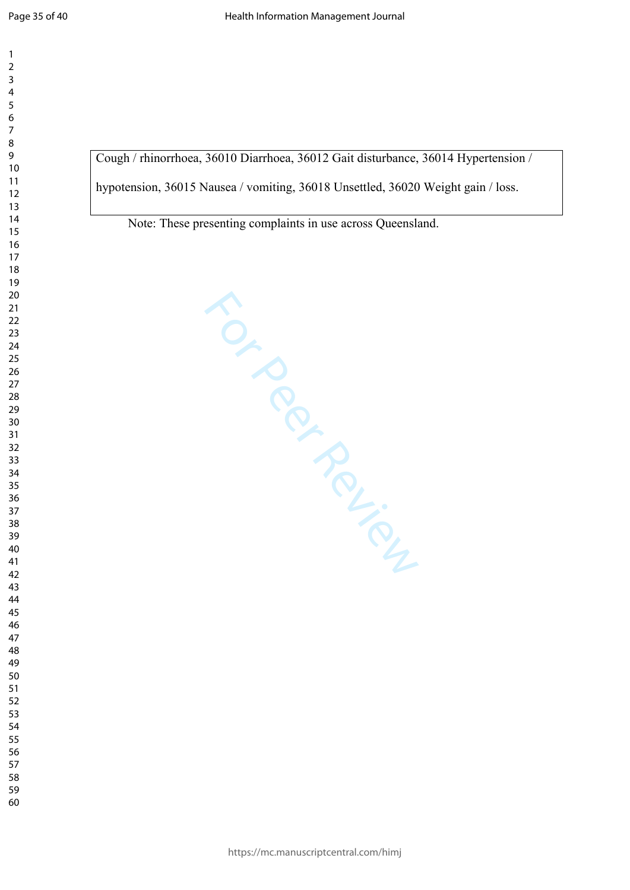$\mathbf{1}$ 

Cough / rhinorrhoea, 36010 Diarrhoea, 36012 Gait disturbance, 36014 Hypertension /

hypotension, 36015 Nausea / vomiting, 36018 Unsettled, 36020 Weight gain / loss.

Note: These presenting complaints in use across Queensland.

For Per Ferrier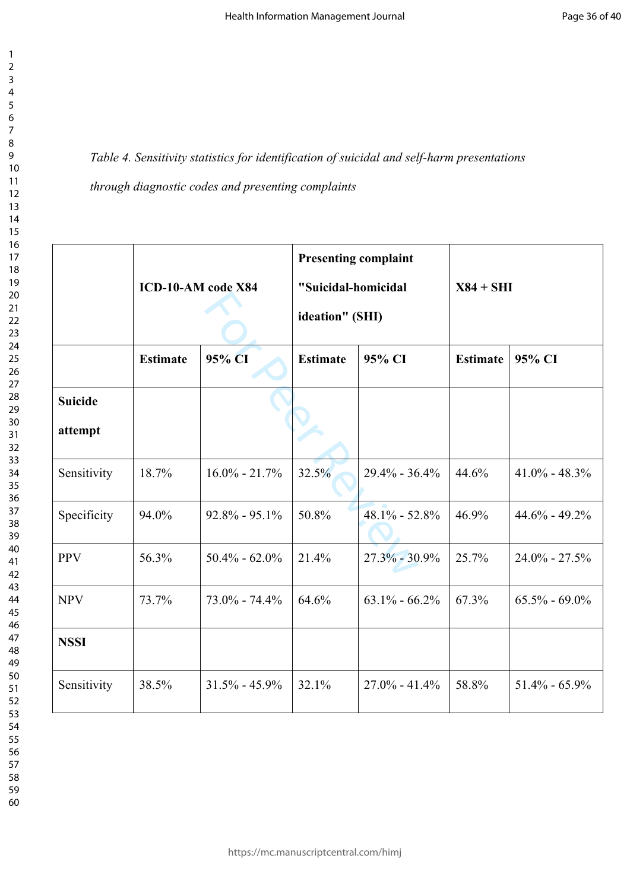*Table 4. Sensitivity statistics for identification of suicidal and self-harm presentations* 

*through diagnostic codes and presenting complaints*

|                |                 |                    | <b>Presenting complaint</b> |                   |                 |                   |  |
|----------------|-----------------|--------------------|-----------------------------|-------------------|-----------------|-------------------|--|
|                |                 | ICD-10-AM code X84 | "Suicidal-homicidal         |                   | $X84 + SHI$     |                   |  |
|                |                 |                    | ideation" (SHI)             |                   |                 |                   |  |
|                | <b>Estimate</b> | 95% CI             | <b>Estimate</b>             | 95% CI            | <b>Estimate</b> | 95% CI            |  |
| <b>Suicide</b> |                 |                    |                             |                   |                 |                   |  |
| attempt        |                 |                    |                             |                   |                 |                   |  |
| Sensitivity    | 18.7%           | $16.0\% - 21.7\%$  | 32.5%                       | $29.4\% - 36.4\%$ | 44.6%           | $41.0\% - 48.3\%$ |  |
| Specificity    | 94.0%           | $92.8\% - 95.1\%$  | 50.8%                       | $48.1\% - 52.8\%$ | 46.9%           | $44.6\% - 49.2\%$ |  |
| <b>PPV</b>     | 56.3%           | $50.4\% - 62.0\%$  | 21.4%                       | $27.3\% - 30.9\%$ | 25.7%           | $24.0\% - 27.5\%$ |  |
| <b>NPV</b>     | 73.7%           | $73.0\% - 74.4\%$  | 64.6%                       | $63.1\% - 66.2\%$ | 67.3%           | $65.5\% - 69.0\%$ |  |
| <b>NSSI</b>    |                 |                    |                             |                   |                 |                   |  |
| Sensitivity    | 38.5%           | $31.5\% - 45.9\%$  | 32.1%                       | $27.0\% - 41.4\%$ | 58.8%           | $51.4\% - 65.9\%$ |  |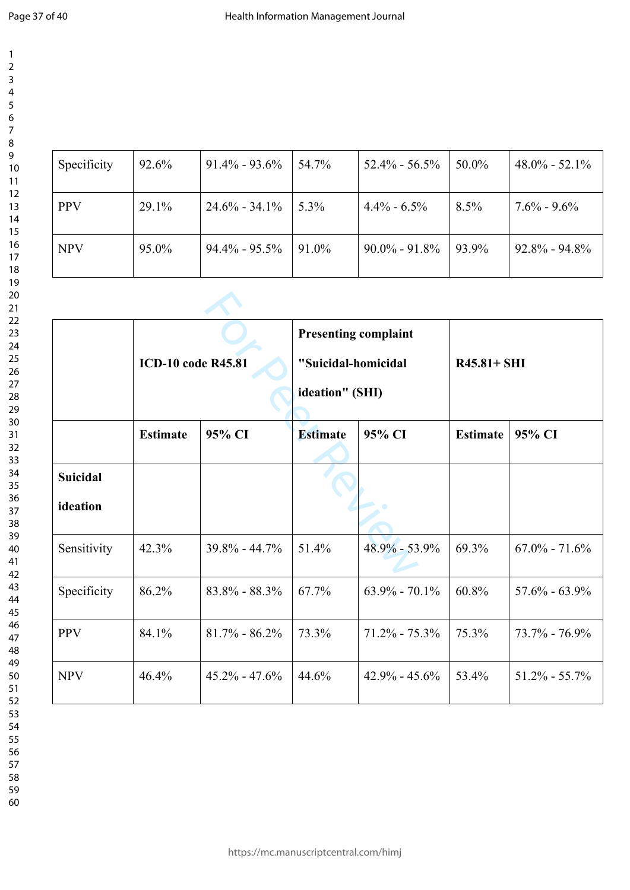| Specificity | 92.6% | $91.4\% - 93.6\%$ | 54.7%   | $52.4\% - 56.5\%$ | $50.0\%$ | $48.0\% - 52.1\%$ |
|-------------|-------|-------------------|---------|-------------------|----------|-------------------|
| <b>PPV</b>  | 29.1% | $24.6\% - 34.1\%$ | $5.3\%$ | $4.4\% - 6.5\%$   | $8.5\%$  | $7.6\% - 9.6\%$   |
| <b>NPV</b>  | 95.0% | $94.4\% - 95.5\%$ | 91.0%   | $90.0\% - 91.8\%$ | 93.9%    | $92.8\% - 94.8\%$ |

|                 | <b>ICD-10 code R45.81</b> |                   | <b>Presenting complaint</b><br>"Suicidal-homicidal<br>ideation" (SHI) |                   | $R45.81 + SHI$  |                   |
|-----------------|---------------------------|-------------------|-----------------------------------------------------------------------|-------------------|-----------------|-------------------|
|                 | <b>Estimate</b>           | 95% CI            | <b>Estimate</b>                                                       | 95% CI            | <b>Estimate</b> | 95% CI            |
| <b>Suicidal</b> |                           |                   |                                                                       |                   |                 |                   |
| ideation        |                           |                   |                                                                       |                   |                 |                   |
| Sensitivity     | 42.3%                     | $39.8\% - 44.7\%$ | 51.4%                                                                 | $48.9\% - 53.9\%$ | 69.3%           | $67.0\% - 71.6\%$ |
| Specificity     | 86.2%                     | $83.8\% - 88.3\%$ | 67.7%                                                                 | $63.9\% - 70.1\%$ | 60.8%           | $57.6\% - 63.9\%$ |
| <b>PPV</b>      | 84.1%                     | $81.7\% - 86.2\%$ | 73.3%                                                                 | $71.2\% - 75.3\%$ | 75.3%           | $73.7\% - 76.9\%$ |
| <b>NPV</b>      | 46.4%                     | $45.2\% - 47.6\%$ | 44.6%                                                                 | $42.9\% - 45.6\%$ | 53.4%           | $51.2\% - 55.7\%$ |

- 
-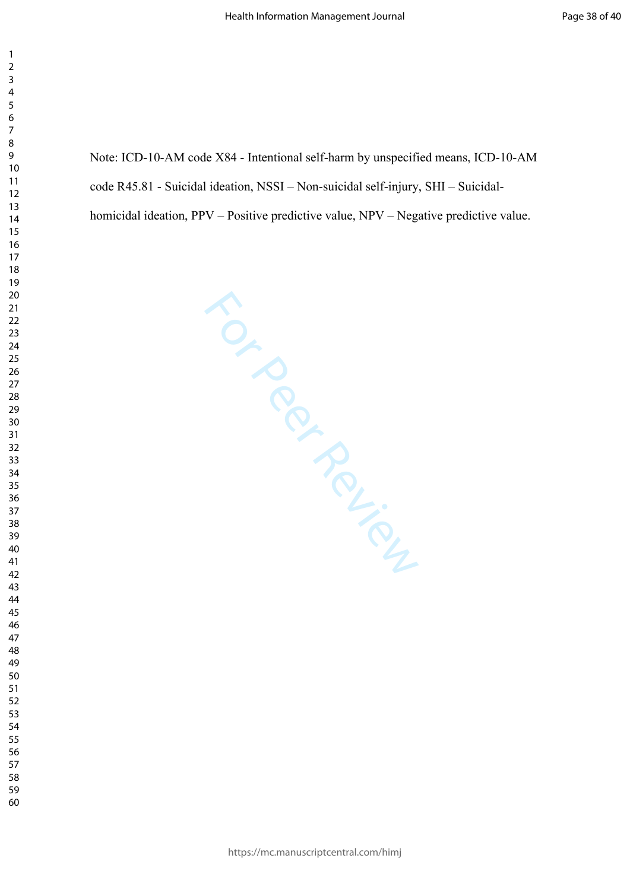Note: ICD-10-AM code X84 - Intentional self-harm by unspecified means, ICD-10-AM code R45.81 - Suicidal ideation, NSSI – Non-suicidal self-injury, SHI – Suicidal-

homicidal ideation, PPV – Positive predictive value, NPV – Negative predictive value.

For Per Ferrier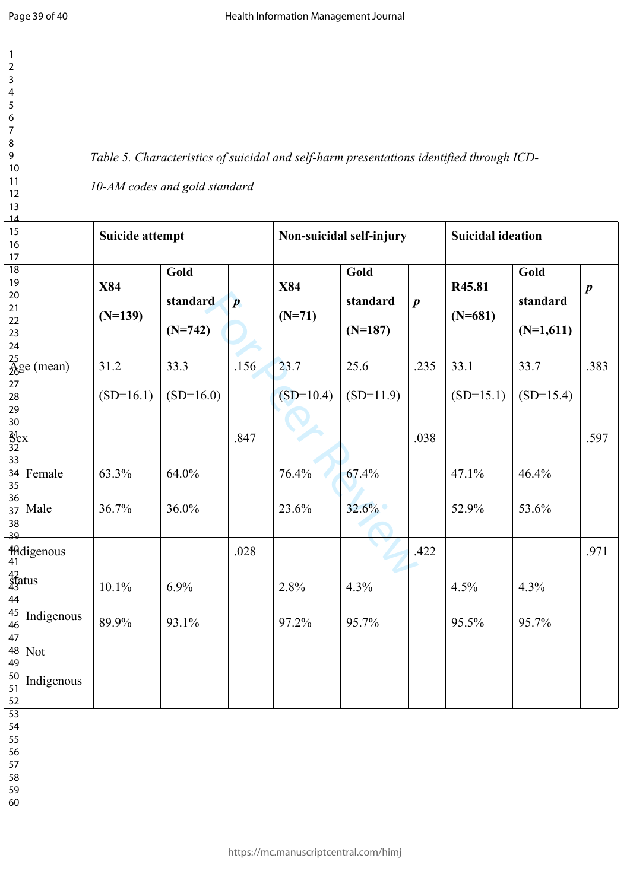*Table 5. Characteristics of suicidal and self-harm presentations identified through ICD-*

## *10-AM codes and gold standard*

| 14                        |                        |             |                  |                          |             |                  |                          |             |                  |
|---------------------------|------------------------|-------------|------------------|--------------------------|-------------|------------------|--------------------------|-------------|------------------|
| 15                        | <b>Suicide attempt</b> |             |                  | Non-suicidal self-injury |             |                  | <b>Suicidal ideation</b> |             |                  |
| 16                        |                        |             |                  |                          |             |                  |                          |             |                  |
| $17\,$                    |                        |             |                  |                          |             |                  |                          |             |                  |
| $\overline{18}$           |                        | Gold        |                  |                          | Gold        |                  |                          | Gold        |                  |
| 19                        | <b>X84</b>             |             |                  | <b>X84</b>               |             |                  | R45.81                   |             |                  |
| 20                        |                        |             |                  |                          |             |                  |                          |             | $\boldsymbol{p}$ |
| 21                        |                        | standard    | $\boldsymbol{p}$ |                          | standard    | $\boldsymbol{p}$ |                          | standard    |                  |
| 22                        | $(N=139)$              |             |                  | $(N=71)$                 |             |                  | $(N=681)$                |             |                  |
| 23                        |                        | $(N=742)$   |                  |                          | $(N=187)$   |                  |                          | $(N=1,611)$ |                  |
| 24                        |                        |             |                  |                          |             |                  |                          |             |                  |
| $\frac{25}{26}$ ge (mean) | 31.2                   | 33.3        | .156             | 23.7                     | 25.6        | .235             | 33.1                     | 33.7        | .383             |
| 27                        |                        |             |                  |                          |             |                  |                          |             |                  |
| 28                        | $(SD=16.1)$            | $(SD=16.0)$ |                  | $(SD=10.4)$              | $(SD=11.9)$ |                  | $(SD=15.1)$              | $(SD=15.4)$ |                  |
| 29                        |                        |             |                  |                          |             |                  |                          |             |                  |
| 30                        |                        |             |                  |                          |             |                  |                          |             |                  |
| $\frac{3}{32}$            |                        |             | .847             |                          |             | .038             |                          |             | .597             |
| 33                        |                        |             |                  |                          |             |                  |                          |             |                  |
| 34 Female                 | 63.3%                  | 64.0%       |                  | 76.4%                    | 67.4%       |                  | 47.1%                    | 46.4%       |                  |
| 35                        |                        |             |                  |                          |             |                  |                          |             |                  |
| 36                        |                        |             |                  |                          |             |                  |                          |             |                  |
| 37 Male                   | 36.7%                  | 36.0%       |                  | 23.6%                    | 32.6%       |                  | 52.9%                    | 53.6%       |                  |
| 38                        |                        |             |                  |                          |             |                  |                          |             |                  |
| 39                        |                        |             |                  |                          |             |                  |                          |             |                  |
| Hidigenous<br>41          |                        |             | .028             |                          |             | .422             |                          |             | .971             |
| 42<br>Status              |                        |             |                  |                          |             |                  |                          |             |                  |
|                           | 10.1%                  | 6.9%        |                  | 2.8%                     | 4.3%        |                  | 4.5%                     | 4.3%        |                  |
| 44                        |                        |             |                  |                          |             |                  |                          |             |                  |
| <sup>45</sup> Indigenous  |                        |             |                  |                          |             |                  |                          |             |                  |
| 46                        | 89.9%                  | 93.1%       |                  | 97.2%                    | 95.7%       |                  | 95.5%                    | 95.7%       |                  |
| 47                        |                        |             |                  |                          |             |                  |                          |             |                  |
| 48 Not                    |                        |             |                  |                          |             |                  |                          |             |                  |
| 49                        |                        |             |                  |                          |             |                  |                          |             |                  |
| 50<br>Indigenous          |                        |             |                  |                          |             |                  |                          |             |                  |
| 51                        |                        |             |                  |                          |             |                  |                          |             |                  |
| 52                        |                        |             |                  |                          |             |                  |                          |             |                  |
| $\overline{53}$           |                        |             |                  |                          |             |                  |                          |             |                  |

54

ŀ

55

56

57 58

59